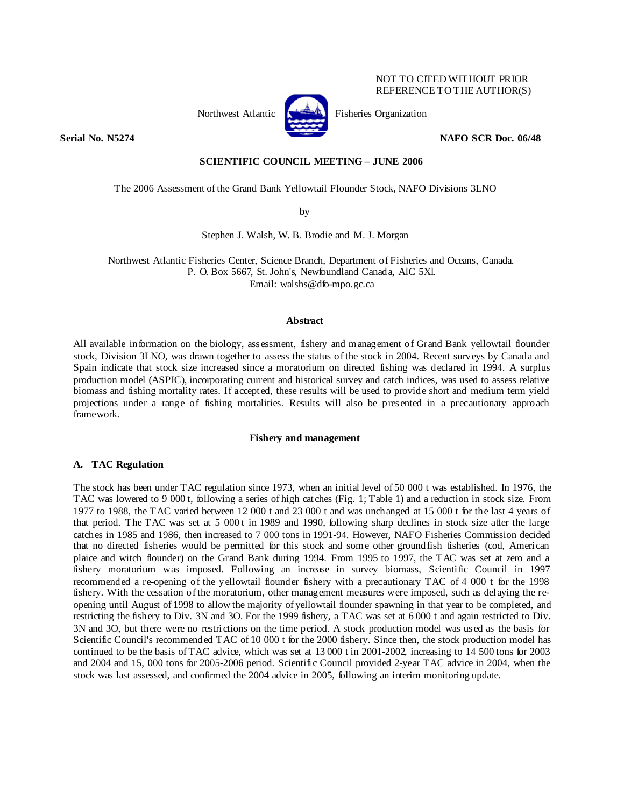# NOT TO CITED WITHOUT PRIOR REFERENCE TO THE AUTHOR(S)

Northwest Atlantic Fisheries Organization



**Serial No. N5274** NAFO SCR Doc. 06/48

# **SCIENTIFIC COUNCIL MEETING – JUNE 2006**

The 2006 Assessment of the Grand Bank Yellowtail Flounder Stock, NAFO Divisions 3LNO

by

Stephen J. Walsh, W. B. Brodie and M. J. Morgan

Northwest Atlantic Fisheries Center, Science Branch, Department of Fisheries and Oceans, Canada. P. O. Box 5667, St. John's, Newfoundland Canada, AlC 5Xl. Email: walshs@dfo-mpo.gc.ca

## **Abstract**

All available information on the biology, assessment, fishery and management of Grand Bank yellowtail flounder stock, Division 3LNO, was drawn together to assess the status of the stock in 2004. Recent surveys by Canada and Spain indicate that stock size increased since a moratorium on directed fishing was declared in 1994. A surplus production model (ASPIC), incorporating current and historical survey and catch indices, was used to assess relative biomass and fishing mortality rates. If accepted, these results will be used to provide short and medium term yield projections under a range of fishing mortalities. Results will also be presented in a precautionary approach framework.

## **Fishery and management**

#### **A. TAC Regulation**

The stock has been under TAC regulation since 1973, when an initial level of 50 000 t was established. In 1976, the TAC was lowered to 9 000 t, following a series of high catches (Fig. 1; Table 1) and a reduction in stock size. From 1977 to 1988, the TAC varied between 12 000 t and 23 000 t and was unchanged at 15 000 t for the last 4 years of that period. The TAC was set at 5 000 t in 1989 and 1990, following sharp declines in stock size after the large catches in 1985 and 1986, then increased to 7 000 tons in 1991-94. However, NAFO Fisheries Commission decided that no directed fisheries would be permitted for this stock and some other groundfish fisheries (cod, American plaice and witch flounder) on the Grand Bank during 1994. From 1995 to 1997, the TAC was set at zero and a fishery moratorium was imposed. Following an increase in survey biomass, Scientific Council in 1997 recommended a re-opening of the yellowtail flounder fishery with a precautionary TAC of 4 000 t for the 1998 fishery. With the cessation of the moratorium, other management measures were imposed, such as delaying the reopening until August of 1998 to allow the majority of yellowtail flounder spawning in that year to be completed, and restricting the fishery to Div. 3N and 3O. For the 1999 fishery, a TAC was set at 6 000 t and again restricted to Div. 3N and 3O, but there were no restrictions on the time period. A stock production model was used as the basis for Scientific Council's recommended TAC of 10 000 t for the 2000 fishery. Since then, the stock production model has continued to be the basis of TAC advice, which was set at 13 000 t in 2001-2002, increasing to 14 500 tons for 2003 and 2004 and 15, 000 tons for 2005-2006 period. Scientific Council provided 2-year TAC advice in 2004, when the stock was last assessed, and confirmed the 2004 advice in 2005, following an interim monitoring update.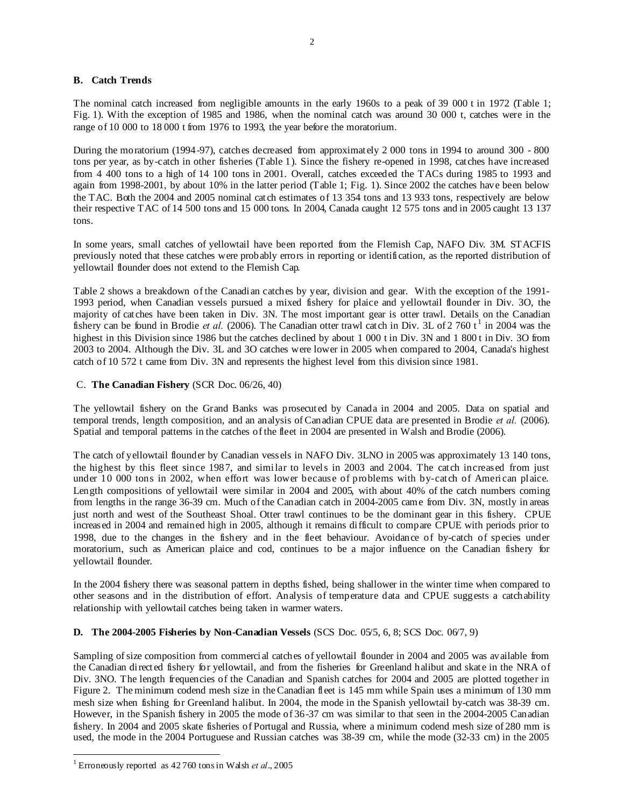# **B. Catch Trends**

The nominal catch increased from negligible amounts in the early 1960s to a peak of 39 000 t in 1972 (Table 1; Fig. 1). With the exception of 1985 and 1986, when the nominal catch was around 30 000 t, catches were in the range of 10 000 to 18 000 t from 1976 to 1993, the year before the moratorium.

During the moratorium (1994-97), catches decreased from approximately 2 000 tons in 1994 to around 300 - 800 tons per year, as by-catch in other fisheries (Table 1). Since the fishery re-opened in 1998, catches have increased from 4 400 tons to a high of 14 100 tons in 2001. Overall, catches exceeded the TACs during 1985 to 1993 and again from 1998-2001, by about 10% in the latter period (Table 1; Fig. 1). Since 2002 the catches have been below the TAC. Both the 2004 and 2005 nominal catch estimates of 13 354 tons and 13 933 tons, respectively are below their respective TAC of 14 500 tons and 15 000 tons. In 2004, Canada caught 12 575 tons and in 2005 caught 13 137 tons.

In some years, small catches of yellowtail have been reported from the Flemish Cap, NAFO Div. 3M. STACFIS previously noted that these catches were probably errors in reporting or identification, as the reported distribution of yellowtail flounder does not extend to the Flemish Cap.

Table 2 shows a breakdown of the Canadian catches by year, division and gear. With the exception of the 1991- 1993 period, when Canadian vessels pursued a mixed fishery for plaice and yellowtail flounder in Div. 3O, the majority of catches have been taken in Div. 3N. The most important gear is otter trawl. Details on the Canadian fishery can be found in Brodie *et al.* (2006). The Canadian otter trawl catch in Div. 3L of 2 760  $t^1$  in 2004 was the highest in this Division since 1986 but the catches declined by about 1 000 t in Div. 3N and 1 800 t in Div. 3O from 2003 to 2004. Although the Div. 3L and 3O catches were lower in 2005 when compared to 2004, Canada's highest catch of 10 572 t came from Div. 3N and represents the highest level from this division since 1981.

# C. **The Canadian Fishery** (SCR Doc. 06/26, 40)

The yellowtail fishery on the Grand Banks was prosecuted by Canada in 2004 and 2005. Data on spatial and temporal trends, length composition, and an analysis of Canadian CPUE data are presented in Brodie *et al.* (2006). Spatial and temporal patterns in the catches of the fleet in 2004 are presented in Walsh and Brodie (2006).

The catch of yellowtail flounder by Canadian vessels in NAFO Div. 3LNO in 2005 was approximately 13 140 tons, the highest by this fleet since 1987, and similar to levels in 2003 and 2004. The catch increased from just under 10 000 tons in 2002, when effort was lower because of problems with by-catch of American plaice. Length compositions of yellowtail were similar in 2004 and 2005, with about 40% of the catch numbers coming from lengths in the range 36-39 cm. Much of the Canadian catch in 2004-2005 came from Div. 3N, mostly in areas just north and west of the Southeast Shoal. Otter trawl continues to be the dominant gear in this fishery. CPUE increased in 2004 and remained high in 2005, although it remains difficult to compare CPUE with periods prior to 1998, due to the changes in the fishery and in the fleet behaviour. Avoidance of by-catch of species under moratorium, such as American plaice and cod, continues to be a major influence on the Canadian fishery for yellowtail flounder.

In the 2004 fishery there was seasonal pattern in depths fished, being shallower in the winter time when compared to other seasons and in the distribution of effort. Analysis of temperature data and CPUE suggests a catchability relationship with yellowtail catches being taken in warmer waters.

# **D. The 2004-2005 Fisheries by Non-Canadian Vessels** (SCS Doc. 05/5, 6, 8; SCS Doc. 06/7, 9)

Sampling of size composition from commercial catches of yellowtail flounder in 2004 and 2005 was available from the Canadian directed fishery for yellowtail, and from the fisheries for Greenland halibut and skate in the NRA of Div. 3NO. The length frequencies of the Canadian and Spanish catches for 2004 and 2005 are plotted together in Figure 2. The minimum codend mesh size in the Canadian fleet is 145 mm while Spain uses a minimum of 130 mm mesh size when fishing for Greenland halibut. In 2004, the mode in the Spanish yellowtail by-catch was 38-39 cm. However, in the Spanish fishery in 2005 the mode of 36-37 cm was similar to that seen in the 2004-2005 Canadian fishery. In 2004 and 2005 skate fisheries of Portugal and Russia, where a minimum codend mesh size of 280 mm is used, the mode in the 2004 Portuguese and Russian catches was 38-39 cm, while the mode (32-33 cm) in the 2005

 $\overline{\phantom{a}}$ 

<sup>1</sup> Erroneously reported as 42 760 tons in Walsh *et al*., 2005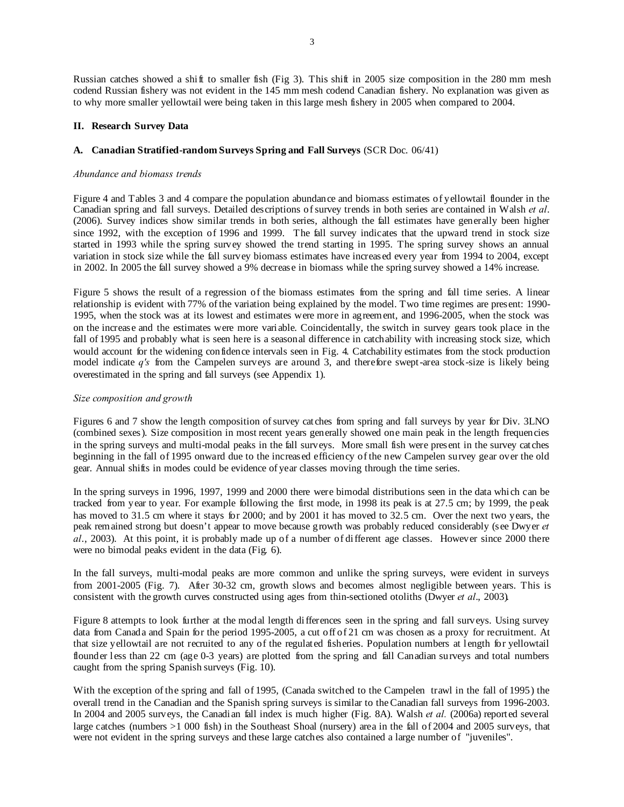Russian catches showed a shift to smaller fish (Fig 3). This shift in 2005 size composition in the 280 mm mesh codend Russian fishery was not evident in the 145 mm mesh codend Canadian fishery. No explanation was given as to why more smaller yellowtail were being taken in this large mesh fishery in 2005 when compared to 2004.

# **II. Research Survey Data**

# **A. Canadian Stratified-random Surveys Spring and Fall Surveys** (SCR Doc. 06/41)

# *Abundance and biomass trends*

Figure 4 and Tables 3 and 4 compare the population abundance and biomass estimates of yellowtail flounder in the Canadian spring and fall surveys. Detailed descriptions of survey trends in both series are contained in Walsh *et al*. (2006). Survey indices show similar trends in both series, although the fall estimates have generally been higher since 1992, with the exception of 1996 and 1999. The fall survey indicates that the upward trend in stock size started in 1993 while the spring survey showed the trend starting in 1995. The spring survey shows an annual variation in stock size while the fall survey biomass estimates have increased every year from 1994 to 2004, except in 2002. In 2005 the fall survey showed a 9% decrease in biomass while the spring survey showed a 14% increase.

Figure 5 shows the result of a regression of the biomass estimates from the spring and fall time series. A linear relationship is evident with 77% of the variation being explained by the model. Two time regimes are present: 1990- 1995, when the stock was at its lowest and estimates were more in agreement, and 1996-2005, when the stock was on the increase and the estimates were more variable. Coincidentally, the switch in survey gears took place in the fall of 1995 and probably what is seen here is a seasonal difference in catchability with increasing stock size, which would account for the widening confidence intervals seen in Fig. 4. Catchability estimates from the stock production model indicate *q's* from the Campelen surveys are around 3, and therefore swept-area stock-size is likely being overestimated in the spring and fall surveys (see Appendix 1).

# *Size composition and growth*

Figures 6 and 7 show the length composition of survey catches from spring and fall surveys by year for Div. 3LNO (combined sexes). Size composition in most recent years generally showed one main peak in the length frequencies in the spring surveys and multi-modal peaks in the fall surveys. More small fish were present in the survey catches beginning in the fall of 1995 onward due to the increased efficiency of the new Campelen survey gear over the old gear. Annual shifts in modes could be evidence of year classes moving through the time series.

In the spring surveys in 1996, 1997, 1999 and 2000 there were bimodal distributions seen in the data which can be tracked from year to year. For example following the first mode, in 1998 its peak is at 27.5 cm; by 1999, the peak has moved to 31.5 cm where it stays for 2000; and by 2001 it has moved to 32.5 cm. Over the next two years, the peak remained strong but doesn't appear to move because growth was probably reduced considerably (see Dwyer *et al*., 2003). At this point, it is probably made up of a number of different age classes. However since 2000 there were no bimodal peaks evident in the data (Fig. 6).

In the fall surveys, multi-modal peaks are more common and unlike the spring surveys, were evident in surveys from 2001-2005 (Fig. 7). After 30-32 cm, growth slows and becomes almost negligible between years. This is consistent with the growth curves constructed using ages from thin-sectioned otoliths (Dwyer *et al*., 2003).

Figure 8 attempts to look further at the modal length differences seen in the spring and fall surveys. Using survey data from Canada and Spain for the period 1995-2005, a cut off of 21 cm was chosen as a proxy for recruitment. At that size yellowtail are not recruited to any of the regulated fisheries. Population numbers at length for yellowtail flounder less than 22 cm (age 0-3 years) are plotted from the spring and fall Canadian surveys and total numbers caught from the spring Spanish surveys (Fig. 10).

With the exception of the spring and fall of 1995, (Canada switched to the Campelen trawl in the fall of 1995) the overall trend in the Canadian and the Spanish spring surveys is similar to the Canadian fall surveys from 1996-2003. In 2004 and 2005 surveys, the Canadian fall index is much higher (Fig. 8A). Walsh *et al.* (2006a) reported several large catches (numbers >1 000 fish) in the Southeast Shoal (nursery) area in the fall of 2004 and 2005 surveys, that were not evident in the spring surveys and these large catches also contained a large number of "juveniles".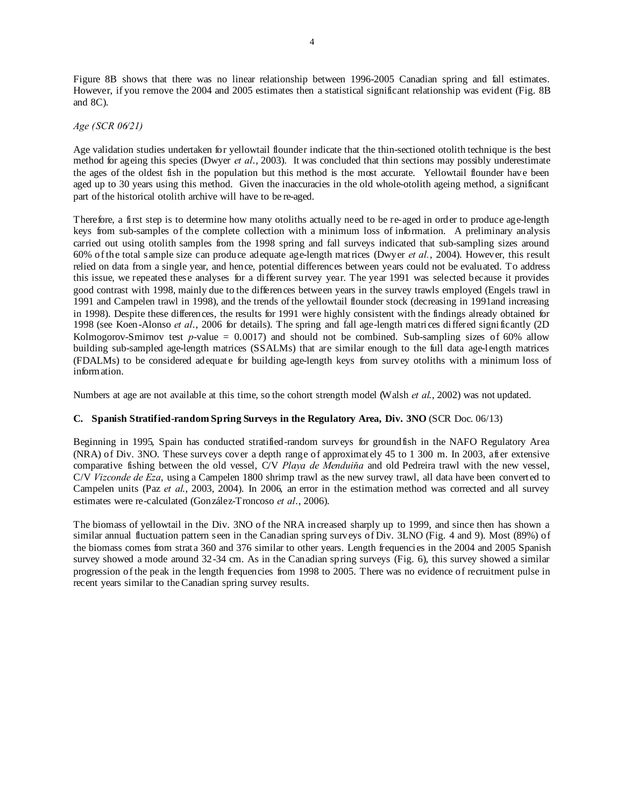Figure 8B shows that there was no linear relationship between 1996-2005 Canadian spring and fall estimates. However, if you remove the 2004 and 2005 estimates then a statistical significant relationship was evident (Fig. 8B and 8C).

*Age (SCR 06/21)* 

Age validation studies undertaken for yellowtail flounder indicate that the thin-sectioned otolith technique is the best method for ageing this species (Dwyer *et al*., 2003). It was concluded that thin sections may possibly underestimate the ages of the oldest fish in the population but this method is the most accurate. Yellowtail flounder have been aged up to 30 years using this method. Given the inaccuracies in the old whole-otolith ageing method, a significant part of the historical otolith archive will have to be re-aged.

Therefore, a first step is to determine how many otoliths actually need to be re-aged in order to produce age-length keys from sub-samples of the complete collection with a minimum loss of information. A preliminary analysis carried out using otolith samples from the 1998 spring and fall surveys indicated that sub-sampling sizes around 60% of the total sample size can produce adequate age-length matrices (Dwyer *et al.*, 2004). However, this result relied on data from a single year, and hence, potential differences between years could not be evaluated. To address this issue, we repeated these analyses for a different survey year. The year 1991 was selected because it provides good contrast with 1998, mainly due to the differences between years in the survey trawls employed (Engels trawl in 1991 and Campelen trawl in 1998), and the trends of the yellowtail flounder stock (decreasing in 1991and increasing in 1998). Despite these differences, the results for 1991 were highly consistent with the findings already obtained for 1998 (see Koen-Alonso *et al*., 2006 for details). The spring and fall age-length matrices differed significantly (2D Kolmogorov-Smirnov test  $p$ -value = 0.0017) and should not be combined. Sub-sampling sizes of 60% allow building sub-sampled age-length matrices (SSALMs) that are similar enough to the full data age-length matrices (FDALMs) to be considered adequate for building age-length keys from survey otoliths with a minimum loss of information.

Numbers at age are not available at this time, so the cohort strength model (Walsh *et al*., 2002) was not updated.

# **C. Spanish Stratified-random Spring Surveys in the Regulatory Area, Div. 3NO** (SCR Doc. 06/13)

Beginning in 1995, Spain has conducted stratified-random surveys for groundfish in the NAFO Regulatory Area (NRA) of Div. 3NO. These surveys cover a depth range of approximately 45 to 1 300 m. In 2003, after extensive comparative fishing between the old vessel, C/V *Playa de Menduiňa* and old Pedreira trawl with the new vessel, C/V *Vizconde de Eza*, using a Campelen 1800 shrimp trawl as the new survey trawl, all data have been converted to Campelen units (Paz *et al*., 2003, 2004). In 2006, an error in the estimation method was corrected and all survey estimates were re-calculated (González-Troncoso *et al*., 2006).

The biomass of yellowtail in the Div. 3NO of the NRA increased sharply up to 1999, and since then has shown a similar annual fluctuation pattern seen in the Canadian spring surveys of Div. 3LNO (Fig. 4 and 9). Most (89%) of the biomass comes from strata 360 and 376 similar to other years. Length frequencies in the 2004 and 2005 Spanish survey showed a mode around 32-34 cm. As in the Canadian spring surveys (Fig. 6), this survey showed a similar progression of the peak in the length frequencies from 1998 to 2005. There was no evidence of recruitment pulse in recent years similar to the Canadian spring survey results.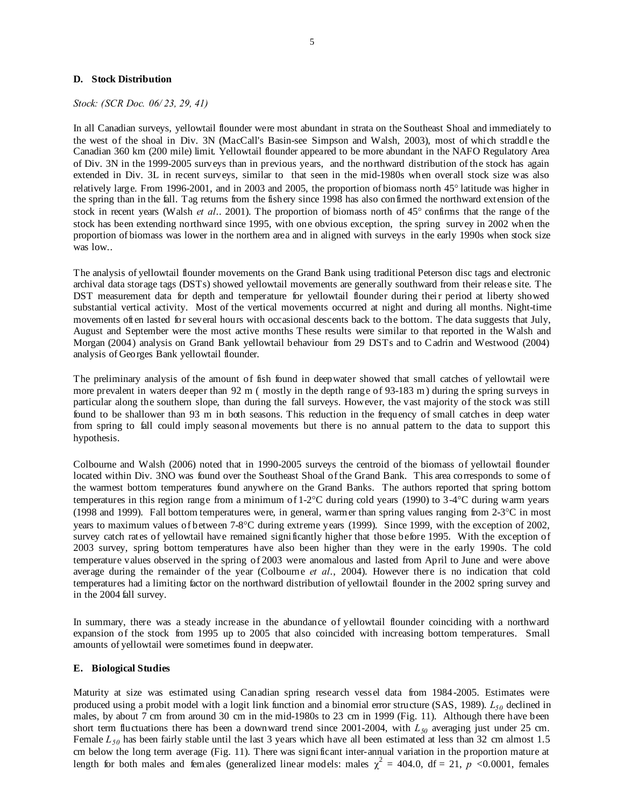#### **D. Stock Distribution**

*Stock: (SCR Doc. 06/ 23, 29, 41)* 

In all Canadian surveys, yellowtail flounder were most abundant in strata on the Southeast Shoal and immediately to the west of the shoal in Div. 3N (MacCall's Basin-see Simpson and Walsh, 2003), most of which straddle the Canadian 360 km (200 mile) limit. Yellowtail flounder appeared to be more abundant in the NAFO Regulatory Area of Div. 3N in the 1999-2005 surveys than in previous years, and the northward distribution of the stock has again extended in Div. 3L in recent surveys, similar to that seen in the mid-1980s when overall stock size was also relatively large. From 1996-2001, and in 2003 and 2005, the proportion of biomass north 45° latitude was higher in the spring than in the fall. Tag returns from the fishery since 1998 has also confirmed the northward extension of the stock in recent years (Walsh *et al*.. 2001). The proportion of biomass north of 45° confirms that the range of the stock has been extending northward since 1995, with one obvious exception, the spring survey in 2002 when the proportion of biomass was lower in the northern area and in aligned with surveys in the early 1990s when stock size was low..

The analysis of yellowtail flounder movements on the Grand Bank using traditional Peterson disc tags and electronic archival data storage tags (DSTs) showed yellowtail movements are generally southward from their release site. The DST measurement data for depth and temperature for yellowtail flounder during their period at liberty showed substantial vertical activity. Most of the vertical movements occurred at night and during all months. Night-time movements often lasted for several hours with occasional descents back to the bottom. The data suggests that July, August and September were the most active months These results were similar to that reported in the Walsh and Morgan (2004) analysis on Grand Bank yellowtail behaviour from 29 DSTs and to C adrin and Westwood (2004) analysis of Georges Bank yellowtail flounder.

The preliminary analysis of the amount of fish found in deepwater showed that small catches of yellowtail were more prevalent in waters deeper than 92 m (mostly in the depth range of 93-183 m) during the spring surveys in particular along the southern slope, than during the fall surveys. However, the vast majority of the stock was still found to be shallower than 93 m in both seasons. This reduction in the frequency of small catches in deep water from spring to fall could imply seasonal movements but there is no annual pattern to the data to support this hypothesis.

Colbourne and Walsh (2006) noted that in 1990-2005 surveys the centroid of the biomass of yellowtail flounder located within Div. 3NO was found over the Southeast Shoal of the Grand Bank. This area corresponds to some of the warmest bottom temperatures found anywhere on the Grand Banks. The authors reported that spring bottom temperatures in this region range from a minimum of 1-2°C during cold years (1990) to 3-4°C during warm years (1998 and 1999). Fall bottom temperatures were, in general, warmer than spring values ranging from  $2\text{-}3\textdegree C$  in most years to maximum values of between 7-8°C during extreme years (1999). Since 1999, with the exception of 2002, survey catch rates of yellowtail have remained significantly higher that those before 1995. With the exception of 2003 survey, spring bottom temperatures have also been higher than they were in the early 1990s. The cold temperature values observed in the spring of 2003 were anomalous and lasted from April to June and were above average during the remainder of the year (Colbourne *et al*., 2004). However there is no indication that cold temperatures had a limiting factor on the northward distribution of yellowtail flounder in the 2002 spring survey and in the 2004 fall survey.

In summary, there was a steady increase in the abundance of yellowtail flounder coinciding with a northward expansion of the stock from 1995 up to 2005 that also coincided with increasing bottom temperatures. Small amounts of yellowtail were sometimes found in deepwater.

#### **E. Biological Studies**

Maturity at size was estimated using Canadian spring research vessel data from 1984-2005. Estimates were produced using a probit model with a logit link function and a binomial error structure (SAS, 1989).  $L_{50}$  declined in males, by about 7 cm from around 30 cm in the mid-1980s to 23 cm in 1999 (Fig. 11). Although there have been short term fluctuations there has been a downward trend since 2001-2004, with  $L_{50}$  averaging just under 25 cm. Female  $L_{50}$  has been fairly stable until the last 3 years which have all been estimated at less than 32 cm almost 1.5 cm below the long term average (Fig. 11). There was significant inter-annual variation in the proportion mature at length for both males and females (generalized linear models: males  $\chi^2 = 404.0$ , df = 21, p <0.0001, females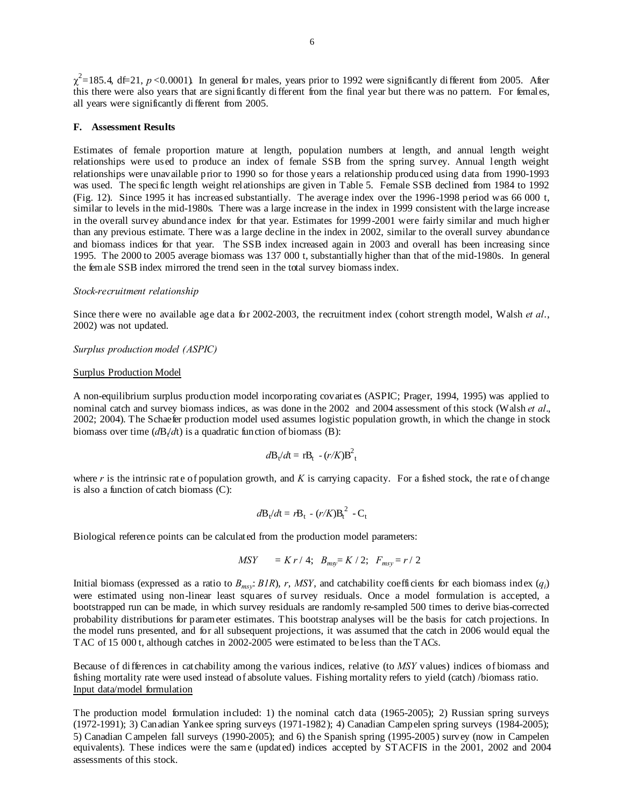$\chi^2$ =185.4, df=21, *p* <0.0001). In general for males, years prior to 1992 were significantly different from 2005. After this there were also years that are significantly different from the final year but there was no pattern. For females, all years were significantly different from 2005.

#### **F. Assessment Results**

Estimates of female proportion mature at length, population numbers at length, and annual length weight relationships were used to produce an index of female SSB from the spring survey. Annual length weight relationships were unavailable prior to 1990 so for those years a relationship produced using data from 1990-1993 was used. The specific length weight relationships are given in Table 5. Female SSB declined from 1984 to 1992 (Fig. 12). Since 1995 it has increased substantially. The average index over the 1996-1998 period was 66 000 t, similar to levels in the mid-1980s. There was a large increase in the index in 1999 consistent with the large increase in the overall survey abundance index for that year. Estimates for 1999-2001 were fairly similar and much higher than any previous estimate. There was a large decline in the index in 2002, similar to the overall survey abundance and biomass indices for that year. The SSB index increased again in 2003 and overall has been increasing since 1995. The 2000 to 2005 average biomass was 137 000 t, substantially higher than that of the mid-1980s. In general the female SSB index mirrored the trend seen in the total survey biomass index.

## *Stock-recruitment relationship*

Since there were no available age data for 2002-2003, the recruitment index (cohort strength model, Walsh *et al*., 2002) was not updated.

#### *Surplus production model (ASPIC)*

#### Surplus Production Model

A non-equilibrium surplus production model incorporating covariates (ASPIC; Prager, 1994, 1995) was applied to nominal catch and survey biomass indices, as was done in the 2002 and 2004 assessment of this stock (Walsh *et al.*, 2002; 2004). The Schaefer production model used assumes logistic population growth, in which the change in stock biomass over time  $\left(\frac{d}{dt}\right)$  is a quadratic function of biomass (B):

$$
d\mathbf{B}_t/dt = r\mathbf{B}_t - (r/K)\mathbf{B}_t^2
$$

where *r* is the intrinsic rate of population growth, and *K* is carrying capacity. For a fished stock, the rate of change is also a function of catch biomass (C):

$$
d\mathbf{B}_t/d\mathbf{t} = r\mathbf{B}_t - (r/K)\mathbf{B}_t^2 - \mathbf{C}_t
$$

Biological reference points can be calculated from the production model parameters:

$$
MSY = K r / 4; B_{msy} = K / 2; F_{msy} = r / 2
$$

Initial biomass (expressed as a ratio to  $B_{msv}$ :  $BIR$ ), *r*, *MSY*, and catchability coefficients for each biomass index  $(q_i)$ were estimated using non-linear least squares of survey residuals. Once a model formulation is accepted, a bootstrapped run can be made, in which survey residuals are randomly re-sampled 500 times to derive bias-corrected probability distributions for parameter estimates. This bootstrap analyses will be the basis for catch projections. In the model runs presented, and for all subsequent projections, it was assumed that the catch in 2006 would equal the TAC of 15 000 t, although catches in 2002-2005 were estimated to be less than the TACs.

Because of differences in catchability among the various indices, relative (to *MSY* values) indices of biomass and fishing mortality rate were used instead of absolute values. Fishing mortality refers to yield (catch) /biomass ratio. Input data/model formulation

The production model formulation included: 1) the nominal catch data (1965-2005); 2) Russian spring surveys (1972-1991); 3) Canadian Yankee spring surveys (1971-1982); 4) Canadian Campelen spring surveys (1984-2005); 5) Canadian C ampelen fall surveys (1990-2005); and 6) the Spanish spring (1995-2005) survey (now in Campelen equivalents). These indices were the same (updated) indices accepted by STACFIS in the 2001, 2002 and 2004 assessments of this stock.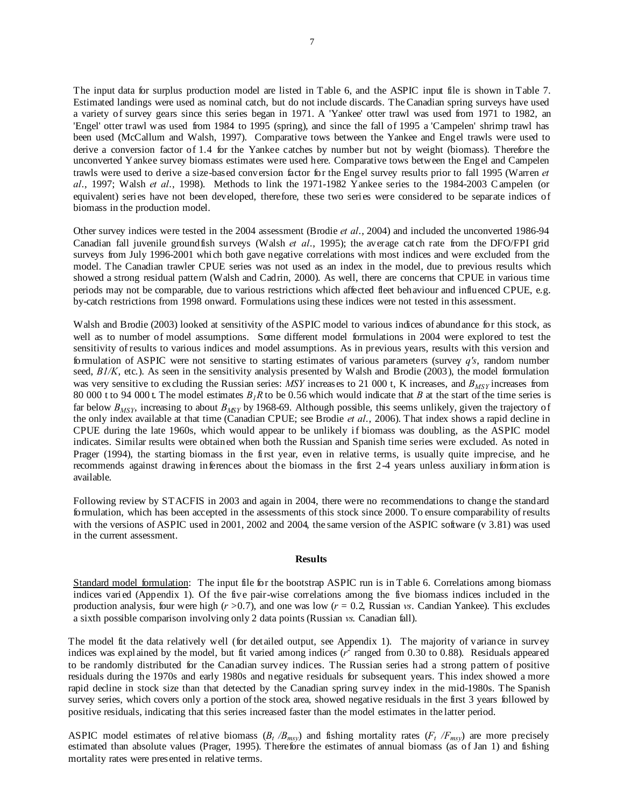The input data for surplus production model are listed in Table 6, and the ASPIC input file is shown in Table 7. Estimated landings were used as nominal catch, but do not include discards. The Canadian spring surveys have used a variety of survey gears since this series began in 1971. A 'Yankee' otter trawl was used from 1971 to 1982, an 'Engel' otter trawl was used from 1984 to 1995 (spring), and since the fall of 1995 a 'Campelen' shrimp trawl has been used (McCallum and Walsh, 1997). Comparative tows between the Yankee and Engel trawls were used to derive a conversion factor of 1.4 for the Yankee catches by number but not by weight (biomass). Therefore the unconverted Yankee survey biomass estimates were used here. Comparative tows between the Engel and Campelen trawls were used to derive a size-based conversion factor for the Engel survey results prior to fall 1995 (Warren *et al*., 1997; Walsh *et al*., 1998). Methods to link the 1971-1982 Yankee series to the 1984-2003 C ampelen (or equivalent) series have not been developed, therefore, these two series were considered to be separate indices of biomass in the production model.

Other survey indices were tested in the 2004 assessment (Brodie *et al*., 2004) and included the unconverted 1986-94 Canadian fall juvenile groundfish surveys (Walsh *et al*., 1995); the average catch rate from the DFO/FPI grid surveys from July 1996-2001 which both gave negative correlations with most indices and were excluded from the model. The Canadian trawler CPUE series was not used as an index in the model, due to previous results which showed a strong residual pattern (Walsh and Cadrin, 2000). As well, there are concerns that CPUE in various time periods may not be comparable, due to various restrictions which affected fleet behaviour and influenced CPUE, e.g. by-catch restrictions from 1998 onward. Formulations using these indices were not tested in this assessment.

Walsh and Brodie (2003) looked at sensitivity of the ASPIC model to various indices of abundance for this stock, as well as to number of model assumptions. Some different model formulations in 2004 were explored to test the sensitivity of results to various indices and model assumptions. As in previous years, results with this version and formulation of ASPIC were not sensitive to starting estimates of various parameters (survey *q's*, random number seed, *B1/K*, etc.). As seen in the sensitivity analysis presented by Walsh and Brodie (2003), the model formulation was very sensitive to excluding the Russian series: *MSY* increases to 21 000 t, K increases, and  $B_{MSV}$  increases from 80 000 t to 94 000 t. The model estimates  $B<sub>1</sub>R$  to be 0.56 which would indicate that *B* at the start of the time series is far below  $B_{MSY}$ , increasing to about  $B_{MSY}$  by 1968-69. Although possible, this seems unlikely, given the trajectory of the only index available at that time (Canadian CPUE; see Brodie *et al*., 2006). That index shows a rapid decline in CPUE during the late 1960s, which would appear to be unlikely if biomass was doubling, as the ASPIC model indicates. Similar results were obtained when both the Russian and Spanish time series were excluded. As noted in Prager (1994), the starting biomass in the first year, even in relative terms, is usually quite imprecise, and he recommends against drawing inferences about the biomass in the first 2-4 years unless auxiliary information is available.

Following review by STACFIS in 2003 and again in 2004, there were no recommendations to change the standard formulation, which has been accepted in the assessments of this stock since 2000. To ensure comparability of results with the versions of ASPIC used in 2001, 2002 and 2004, the same version of the ASPIC software (v 3.81) was used in the current assessment.

#### **Results**

Standard model formulation: The input file for the bootstrap ASPIC run is in Table 6. Correlations among biomass indices varied (Appendix 1). Of the five pair-wise correlations among the five biomass indices included in the production analysis, four were high  $(r > 0.7)$ , and one was low  $(r = 0.2$ , Russian *vs*. Candian Yankee). This excludes a sixth possible comparison involving only 2 data points (Russian *vs*. Canadian fall).

The model fit the data relatively well (for detailed output, see Appendix 1). The majority of variance in survey indices was explained by the model, but fit varied among indices  $(r^2)$  ranged from 0.30 to 0.88). Residuals appeared to be randomly distributed for the Canadian survey indices. The Russian series had a strong pattern of positive residuals during the 1970s and early 1980s and negative residuals for subsequent years. This index showed a more rapid decline in stock size than that detected by the Canadian spring survey index in the mid-1980s. The Spanish survey series, which covers only a portion of the stock area, showed negative residuals in the first 3 years followed by positive residuals, indicating that this series increased faster than the model estimates in the latter period.

ASPIC model estimates of relative biomass  $(B_t/B_{mvv})$  and fishing mortality rates  $(F_t/F_{mvv})$  are more precisely estimated than absolute values (Prager, 1995). Therefore the estimates of annual biomass (as of Jan 1) and fishing mortality rates were presented in relative terms.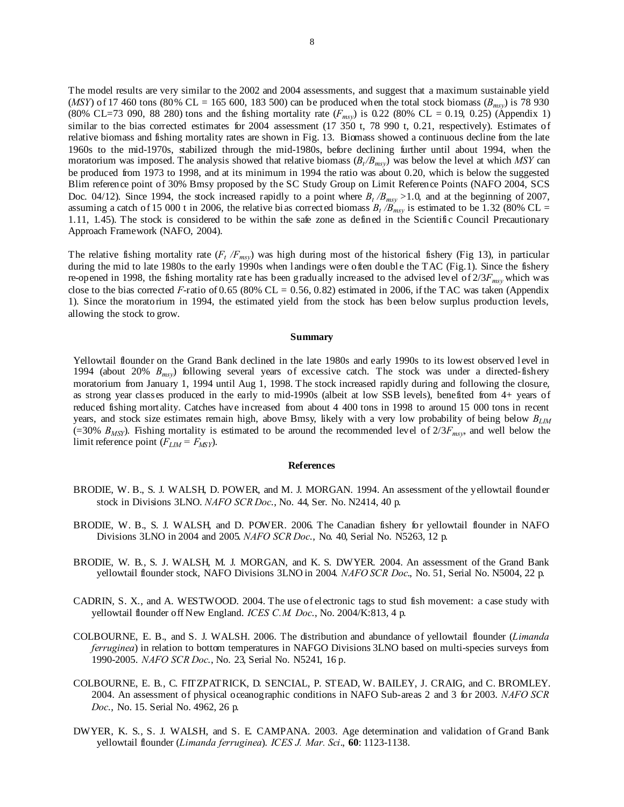The model results are very similar to the 2002 and 2004 assessments, and suggest that a maximum sustainable yield  $(MSY)$  of 17 460 tons (80% CL = 165 600, 183 500) can be produced when the total stock biomass ( $B_{msv}$ ) is 78 930 (80% CL=73 090, 88 280) tons and the fishing mortality rate  $(F_{msv})$  is 0.22 (80% CL = 0.19, 0.25) (Appendix 1) similar to the bias corrected estimates for 2004 assessment (17 350 t, 78 990 t, 0.21, respectively). Estimates of relative biomass and fishing mortality rates are shown in Fig. 13. Biomass showed a continuous decline from the late 1960s to the mid-1970s, stabilized through the mid-1980s, before declining further until about 1994, when the moratorium was imposed. The analysis showed that relative biomass  $(B_t/B_{msy})$  was below the level at which *MSY* can be produced from 1973 to 1998, and at its minimum in 1994 the ratio was about 0.20, which is below the suggested Blim reference point of 30% Bmsy proposed by the SC Study Group on Limit Reference Points (NAFO 2004, SCS Doc. 04/12). Since 1994, the stock increased rapidly to a point where  $B_t/B_{msy} > 1.0$ , and at the beginning of 2007, assuming a catch of 15 000 t in 2006, the relative bias corrected biomass  $B_t/B_{msy}$  is estimated to be 1.32 (80% CL = 1.11, 1.45). The stock is considered to be within the safe zone as defined in the Scientific Council Precautionary Approach Framework (NAFO, 2004).

The relative fishing mortality rate  $(F_t/F_{msy})$  was high during most of the historical fishery (Fig 13), in particular during the mid to late 1980s to the early 1990s when landings were often double the TAC (Fig.1). Since the fishery re-opened in 1998, the fishing mortality rate has been gradually increased to the advised level of 2/3*Fmsy* which was close to the bias corrected  $F$ -ratio of 0.65 (80% CL = 0.56, 0.82) estimated in 2006, if the TAC was taken (Appendix 1). Since the moratorium in 1994, the estimated yield from the stock has been below surplus production levels, allowing the stock to grow.

#### **Summary**

Yellowtail flounder on the Grand Bank declined in the late 1980s and early 1990s to its lowest observed level in 1994 (about 20% *Bmsy*) following several years of excessive catch. The stock was under a directed-fishery moratorium from January 1, 1994 until Aug 1, 1998. The stock increased rapidly during and following the closure, as strong year classes produced in the early to mid-1990s (albeit at low SSB levels), benefited from 4+ years of reduced fishing mortality. Catches have increased from about 4 400 tons in 1998 to around 15 000 tons in recent years, and stock size estimates remain high, above Bmsy, likely with a very low probability of being below  $B_{LM}$ (=30%  $B_{MSY}$ ). Fishing mortality is estimated to be around the recommended level of  $2/3F_{msv}$ , and well below the limit reference point  $(F_{LM} = F_{MSY})$ .

#### **References**

- BRODIE, W. B., S. J. WALSH, D. POWER, and M. J. MORGAN. 1994. An assessment of the yellowtail flounder stock in Divisions 3LNO. *NAFO SCR Doc*., No. 44, Ser. No. N2414, 40 p.
- BRODIE, W. B., S. J. WALSH, and D. POWER. 2006. The Canadian fishery for yellowtail flounder in NAFO Divisions 3LNO in 2004 and 2005. *NAFO SCR Doc*., No. 40, Serial No. N5263, 12 p.
- BRODIE, W. B., S. J. WALSH, M. J. MORGAN, and K. S. DWYER. 2004. An assessment of the Grand Bank yellowtail flounder stock, NAFO Divisions 3LNO in 2004. *NAFO SCR Doc*., No. 51, Serial No. N5004, 22 p.
- CADRIN, S. X., and A. WESTWOOD. 2004. The use of electronic tags to stud fish movement: a case study with yellowtail flounder off New England. *ICES C.M. Doc*., No. 2004/K:813, 4 p.
- COLBOURNE, E. B., and S. J. WALSH. 2006. The distribution and abundance of yellowtail flounder (*Limanda ferruginea*) in relation to bottom temperatures in NAFGO Divisions 3LNO based on multi-species surveys from 1990-2005. *NAFO SCR Doc*., No. 23, Serial No. N5241, 16 p.
- COLBOURNE, E. B., C. FITZPATRICK, D. SENCIAL, P. STEAD, W. BAILEY, J. CRAIG, and C. BROMLEY. 2004. An assessment of physical oceanographic conditions in NAFO Sub-areas 2 and 3 for 2003. *NAFO SCR Doc*., No. 15. Serial No. 4962, 26 p.
- DWYER, K. S., S. J. WALSH, and S. E. CAMPANA. 2003. Age determination and validation of Grand Bank yellowtail flounder (*Limanda ferruginea*). *ICES J. Mar. Sci*., **60**: 1123-1138.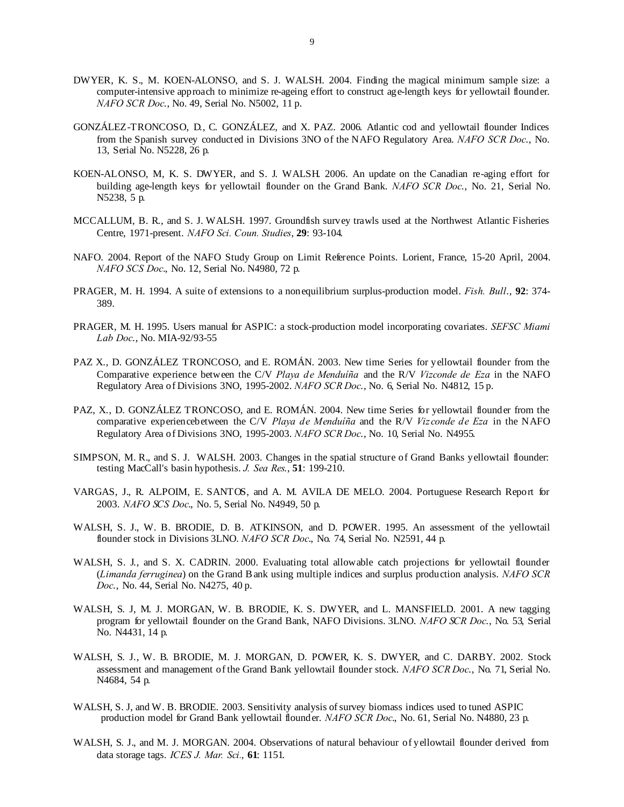- DWYER, K. S., M. KOEN-ALONSO, and S. J. WALSH. 2004. Finding the magical minimum sample size: a computer-intensive approach to minimize re-ageing effort to construct age-length keys for yellowtail flounder. *NAFO SCR Doc*., No. 49, Serial No. N5002, 11 p.
- GONZÁLEZ-TRONCOSO, D., C. GONZÁLEZ, and X. PAZ. 2006. Atlantic cod and yellowtail flounder Indices from the Spanish survey conducted in Divisions 3NO of the NAFO Regulatory Area. *NAFO SCR Doc*., No. 13, Serial No. N5228, 26 p.
- KOEN-ALONSO, M, K. S. DWYER, and S. J. WALSH. 2006. An update on the Canadian re-aging effort for building age-length keys for yellowtail flounder on the Grand Bank. *NAFO SCR Doc*., No. 21, Serial No. N5238, 5 p.
- MCCALLUM, B. R., and S. J. WALSH. 1997. Groundfish survey trawls used at the Northwest Atlantic Fisheries Centre, 1971-present. *NAFO Sci. Coun. Studies*, **29**: 93-104.
- NAFO. 2004. Report of the NAFO Study Group on Limit Reference Points. Lorient, France, 15-20 April, 2004. *NAFO SCS Doc*., No. 12, Serial No. N4980, 72 p.
- PRAGER, M. H. 1994. A suite of extensions to a nonequilibrium surplus-production model. *Fish. Bull*., **92**: 374- 389.
- PRAGER, M. H. 1995. Users manual for ASPIC: a stock-production model incorporating covariates. *SEFSC Miami Lab Doc*., No. MIA-92/93-55
- PAZ X., D. GONZÁLEZ TRONCOSO, and E. ROMÁN. 2003. New time Series for yellowtail flounder from the Comparative experience between the C/V *Playa de Menduíña* and the R/V *Vizconde de Eza* in the NAFO Regulatory Area of Divisions 3NO, 1995-2002. *NAFO SCR Doc*., No. 6, Serial No. N4812, 15 p.
- PAZ, X., D. GONZÁLEZ TRONCOSO, and E. ROMÁN. 2004. New time Series for yellowtail flounder from the comparative experiencebetween the C/V *Playa de Menduíña* and the R/V *Vizconde de Eza* in the NAFO Regulatory Area of Divisions 3NO, 1995-2003. *NAFO SCR Doc*., No. 10, Serial No. N4955.
- SIMPSON, M. R., and S. J. WALSH. 2003. Changes in the spatial structure of Grand Banks yellowtail flounder: testing MacCall's basin hypothesis. *J. Sea Res*., **51**: 199-210.
- VARGAS, J., R. ALPOIM, E. SANTOS, and A. M. AVILA DE MELO. 2004. Portuguese Research Report for 2003. *NAFO SCS Doc*., No. 5, Serial No. N4949, 50 p.
- WALSH, S. J., W. B. BRODIE, D. B. ATKINSON, and D. POWER. 1995. An assessment of the yellowtail flounder stock in Divisions 3LNO. *NAFO SCR Doc*., No. 74, Serial No. N2591, 44 p.
- WALSH, S. J., and S. X. CADRIN. 2000. Evaluating total allowable catch projections for yellowtail flounder (*Limanda ferruginea*) on the Grand B ank using multiple indices and surplus production analysis. *NAFO SCR Doc*., No. 44, Serial No. N4275, 40 p.
- WALSH, S. J, M. J. MORGAN, W. B. BRODIE, K. S. DWYER, and L. MANSFIELD. 2001. A new tagging program for yellowtail flounder on the Grand Bank, NAFO Divisions. 3LNO. *NAFO SCR Doc*., No. 53, Serial No. N4431, 14 p.
- WALSH, S. J., W. B. BRODIE, M. J. MORGAN, D. POWER, K. S. DWYER, and C. DARBY. 2002. Stock assessment and management of the Grand Bank yellowtail flounder stock. *NAFO SCR Doc*., No. 71, Serial No. N4684, 54 p.
- WALSH, S. J, and W. B. BRODIE. 2003. Sensitivity analysis of survey biomass indices used to tuned ASPIC production model for Grand Bank yellowtail flounder. *NAFO SCR Doc*., No. 61, Serial No. N4880, 23 p.
- WALSH, S. J., and M. J. MORGAN. 2004. Observations of natural behaviour of yellowtail flounder derived from data storage tags. *ICES J. Mar. Sci.*, **61**: 1151.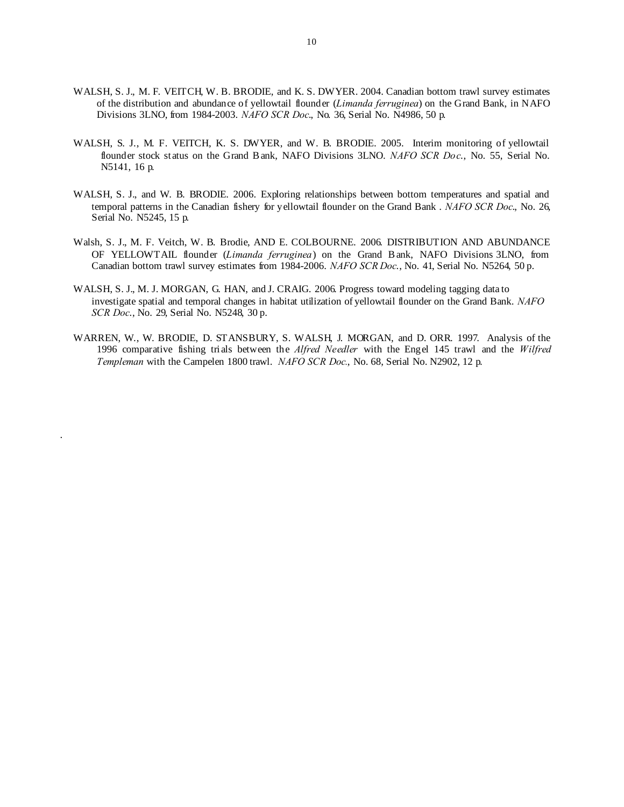- WALSH, S. J., M. F. VEITCH, W. B. BRODIE, and K. S. DWYER. 2004. Canadian bottom trawl survey estimates of the distribution and abundance of yellowtail flounder (*Limanda ferruginea*) on the Grand Bank, in NAFO Divisions 3LNO, from 1984-2003. *NAFO SCR Doc*., No. 36, Serial No. N4986, 50 p.
- WALSH, S. J., M. F. VEITCH, K. S. DWYER, and W. B. BRODIE. 2005. Interim monitoring of yellowtail flounder stock status on the Grand B ank, NAFO Divisions 3LNO. *NAFO SCR Doc*., No. 55, Serial No. N5141, 16 p.
- WALSH, S. J., and W. B. BRODIE. 2006. Exploring relationships between bottom temperatures and spatial and temporal patterns in the Canadian fishery for yellowtail flounder on the Grand Bank . *NAFO SCR Doc*., No. 26, Serial No. N5245, 15 p.
- Walsh, S. J., M. F. Veitch, W. B. Brodie, AND E. COLBOURNE. 2006. DISTRIBUTION AND ABUNDANCE OF YELLOWTAIL flounder (*Limanda ferruginea*) on the Grand B ank, NAFO Divisions 3LNO, from Canadian bottom trawl survey estimates from 1984-2006. *NAFO SCR Doc*., No. 41, Serial No. N5264, 50 p.
- WALSH, S. J., M. J. MORGAN, G. HAN, and J. CRAIG. 2006. Progress toward modeling tagging data to investigate spatial and temporal changes in habitat utilization of yellowtail flounder on the Grand Bank. *NAFO SCR Doc*., No. 29, Serial No. N5248, 30 p.
- WARREN, W., W. BRODIE, D. STANSBURY, S. WALSH, J. MORGAN, and D. ORR. 1997. Analysis of the 1996 comparative fishing trials between the *Alfred Needler* with the Engel 145 trawl and the *Wilfred Templeman* with the Campelen 1800 trawl. *NAFO SCR Doc.*, No. 68, Serial No. N2902, 12 p.

.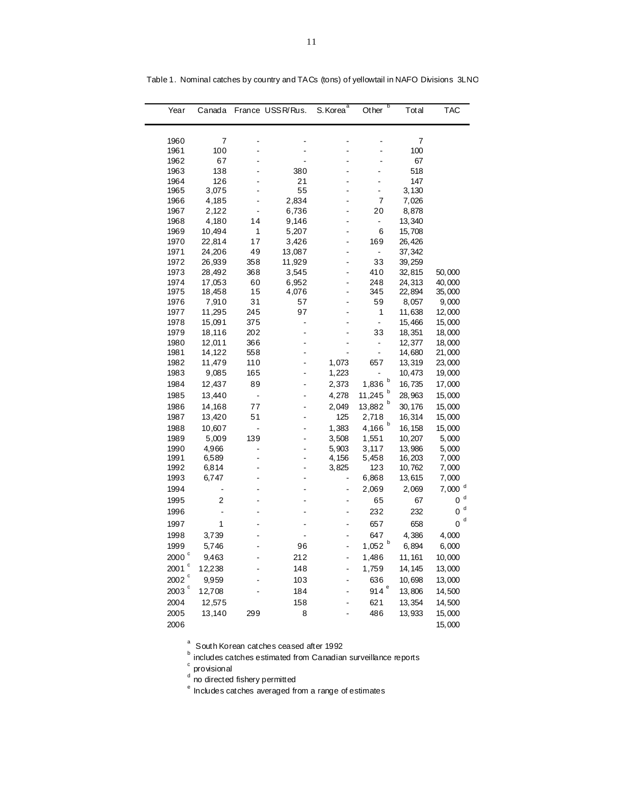| Year                | Canada          |                | France USSR/Rus. | S. Korea <sup>a</sup> | b<br>Other               | Total             | <b>TAC</b>           |
|---------------------|-----------------|----------------|------------------|-----------------------|--------------------------|-------------------|----------------------|
|                     |                 |                |                  |                       |                          |                   |                      |
| 1960                | $\overline{7}$  |                |                  |                       |                          | 7                 |                      |
| 1961                | 100             |                |                  |                       |                          | 100               |                      |
| 1962                | 67              |                |                  |                       |                          | 67                |                      |
| 1963                | 138             |                | 380              |                       |                          | 518               |                      |
| 1964                | 126             |                | 21               |                       |                          | 147               |                      |
| 1965                | 3,075           |                | 55               |                       |                          | 3,130             |                      |
| 1966                | 4,185           |                | 2,834            | $\overline{a}$        | $\overline{7}$           | 7,026             |                      |
| 1967                | 2,122           |                | 6,736            |                       | 20                       | 8,878             |                      |
| 1968                | 4,180           | 14             | 9,146            |                       | $\blacksquare$           | 13,340            |                      |
| 1969                | 10,494          | 1              | 5,207            |                       | 6                        | 15,708            |                      |
| 1970                | 22,814          | 17             | 3,426            |                       | 169                      | 26,426            |                      |
| 1971                | 24,206          | 49             | 13,087           |                       | $\overline{\phantom{m}}$ | 37, 342           |                      |
| 1972                | 26,939          | 358            | 11,929           |                       | 33                       | 39, 259           |                      |
| 1973                | 28,492          | 368            | 3,545            | L.                    | 410                      | 32,815            | 50,000               |
| 1974                | 17,053          | 60<br>15       | 6,952            |                       | 248                      | 24,313            | 40,000               |
| 1975<br>1976        | 18,458<br>7,910 | 31             | 4,076<br>57      |                       | 345<br>59                | 22,894<br>8,057   | 35,000<br>9,000      |
| 1977                | 11,295          | 245            | 97               |                       | 1                        | 11,638            | 12,000               |
| 1978                | 15,091          | 375            | L.               |                       | $\overline{\phantom{a}}$ | 15,466            | 15,000               |
| 1979                | 18,116          | 202            |                  |                       | 33                       | 18, 351           | 18,000               |
| 1980                | 12,011          | 366            |                  |                       | $\overline{\phantom{a}}$ | 12,377            | 18,000               |
| 1981                | 14,122          | 558            |                  |                       | $\blacksquare$           | 14,680            | 21,000               |
| 1982                | 11,479          | 110            | L                | 1,073                 | 657                      | 13,319            | 23,000               |
| 1983                | 9,085           | 165            | ä,               | 1,223                 |                          | 10,473            | 19,000               |
| 1984                | 12,437          | 89             |                  | 2,373                 | 1,836 $b$                | 16,735            | 17,000               |
|                     | 13,440          | $\overline{a}$ |                  | 4,278                 | b<br>11,245              |                   |                      |
| 1985                |                 |                |                  |                       | b                        | 28,963            | 15,000               |
| 1986                | 14,168          | 77             |                  | 2,049                 | 13,882                   | 30, 176           | 15,000               |
| 1987                | 13,420          | 51             |                  | 125                   | 2,718                    | 16,314            | 15,000               |
| 1988                | 10,607          | -              |                  | 1,383                 | 4,166                    | 16, 158           | 15,000               |
| 1989                | 5,009           | 139            |                  | 3,508                 | 1,551                    | 10,207            | 5,000                |
| 1990<br>1991        | 4,966<br>6,589  |                | L<br>L,          | 5,903<br>4,156        | 3,117<br>5,458           | 13,986<br>16, 203 | 5,000<br>7,000       |
| 1992                | 6,814           |                |                  | 3,825                 | 123                      | 10,762            | 7,000                |
| 1993                | 6,747           |                |                  |                       | 6,868                    | 13,615            | 7,000                |
| 1994                |                 |                |                  | ÷                     | 2,069                    | 2,069             | $7,000$ <sup>d</sup> |
|                     | 2               |                |                  | ä,                    |                          |                   | 0 <sup>d</sup>       |
| 1995                |                 |                |                  |                       | 65                       | 67                | 0 <sup>d</sup>       |
| 1996                |                 |                |                  |                       | 232                      | 232               | d                    |
| 1997                | 1               |                |                  |                       | 657                      | 658               | 0                    |
| 1998                | 3,739           |                |                  |                       | 647                      | 4,386             | 4,000                |
| 1999                | 5,746           |                | 96               |                       | 1,052 $b$                | 6,894             | 6,000                |
| $2000$ $^{\circ}$   | 9,463           |                | 212              | L.                    | 1,486                    | 11, 161           | 10,000               |
| $2001$ <sup>c</sup> | 12,238          |                | 148              | ä,                    | 1,759                    | 14, 145           | 13,000               |
| $2002$ °            | 9,959           |                | 103              |                       | 636                      | 10,698            | 13,000               |
| 2003                | 12,708          |                | 184              |                       | 914 $e$                  | 13,806            | 14,500               |
| 2004                | 12,575          |                | 158              |                       | 621                      | 13,354            | 14,500               |
| 2005                | 13,140          | 299            | 8                |                       | 486                      | 13,933            | 15,000               |
|                     |                 |                |                  |                       |                          |                   |                      |
| 2006                |                 |                |                  |                       |                          |                   | 15,000               |

Table 1. Nominal catches by country and TACs (tons) of yellowtail in NAFO Divisions 3LNO

 $a^a$  South Korean catches ceased after 1992

**b** includes catches estimated from Canadian surveillance reports

 $\degree$  provisional

<sup>d</sup> no directed fishery permitted

 $e<sup>e</sup>$  Includes catches averaged from a range of estimates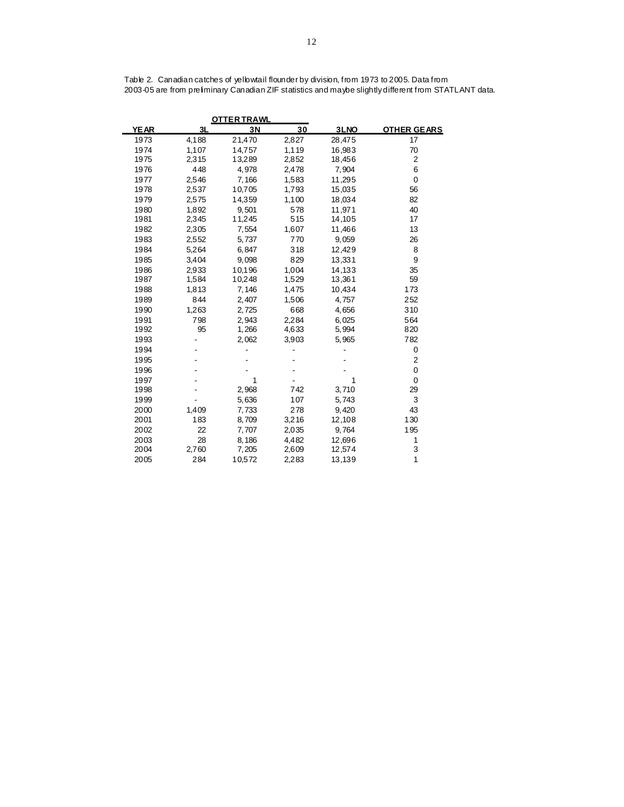| <b>OTTER TRAWL</b> |       |        |       |        |                    |  |  |
|--------------------|-------|--------|-------|--------|--------------------|--|--|
| <b>YEAR</b>        | 3L    | 3N     | 30    | 3LNO   | <b>OTHER GEARS</b> |  |  |
| 1973               | 4,188 | 21,470 | 2,827 | 28,475 | 17                 |  |  |
| 1974               | 1,107 | 14,757 | 1,119 | 16,983 | 70                 |  |  |
| 1975               | 2,315 | 13,289 | 2,852 | 18,456 | $\overline{2}$     |  |  |
| 1976               | 448   | 4,978  | 2,478 | 7,904  | 6                  |  |  |
| 1977               | 2,546 | 7,166  | 1,583 | 11,295 | $\mathbf 0$        |  |  |
| 1978               | 2,537 | 10,705 | 1,793 | 15,035 | 56                 |  |  |
| 1979               | 2,575 | 14,359 | 1,100 | 18,034 | 82                 |  |  |
| 1980               | 1,892 | 9,501  | 578   | 11,971 | 40                 |  |  |
| 1981               | 2,345 | 11,245 | 515   | 14,105 | 17                 |  |  |
| 1982               | 2,305 | 7,554  | 1,607 | 11,466 | 13                 |  |  |
| 1983               | 2,552 | 5,737  | 770   | 9,059  | 26                 |  |  |
| 1984               | 5,264 | 6,847  | 318   | 12,429 | 8                  |  |  |
| 1985               | 3,404 | 9,098  | 829   | 13,331 | 9                  |  |  |
| 1986               | 2,933 | 10,196 | 1,004 | 14,133 | 35                 |  |  |
| 1987               | 1,584 | 10,248 | 1,529 | 13,361 | 59                 |  |  |
| 1988               | 1,813 | 7,146  | 1,475 | 10,434 | 173                |  |  |
| 1989               | 844   | 2,407  | 1,506 | 4,757  | 252                |  |  |
| 1990               | 1,263 | 2,725  | 668   | 4,656  | 310                |  |  |
| 1991               | 798   | 2,943  | 2,284 | 6,025  | 564                |  |  |
| 1992               | 95    | 1,266  | 4,633 | 5,994  | 820                |  |  |
| 1993               |       | 2,062  | 3,903 | 5,965  | 782                |  |  |
| 1994               |       |        |       |        | 0                  |  |  |
| 1995               |       |        |       |        | $\overline{2}$     |  |  |
| 1996               |       |        |       |        | $\mathbf 0$        |  |  |
| 1997               |       | 1      |       | 1      | $\mathbf 0$        |  |  |
| 1998               |       | 2,968  | 742   | 3,710  | 29                 |  |  |
| 1999               |       | 5,636  | 107   | 5,743  | 3                  |  |  |
| 2000               | 1,409 | 7,733  | 278   | 9,420  | 43                 |  |  |
| 2001               | 183   | 8,709  | 3,216 | 12,108 | 130                |  |  |
| 2002               | 22    | 7,707  | 2,035 | 9,764  | 195                |  |  |
| 2003               | 28    | 8,186  | 4,482 | 12,696 | 1                  |  |  |
| 2004               | 2,760 | 7,205  | 2,609 | 12,574 | 3                  |  |  |
| 2005               | 284   | 10,572 | 2,283 | 13,139 | 1                  |  |  |

Table 2. Canadian catches of yellowtail flounder by division, from 1973 to 2005. Data from 2003-05 are from preliminary Canadian ZIF statistics and maybe slightly different from STATLANT data.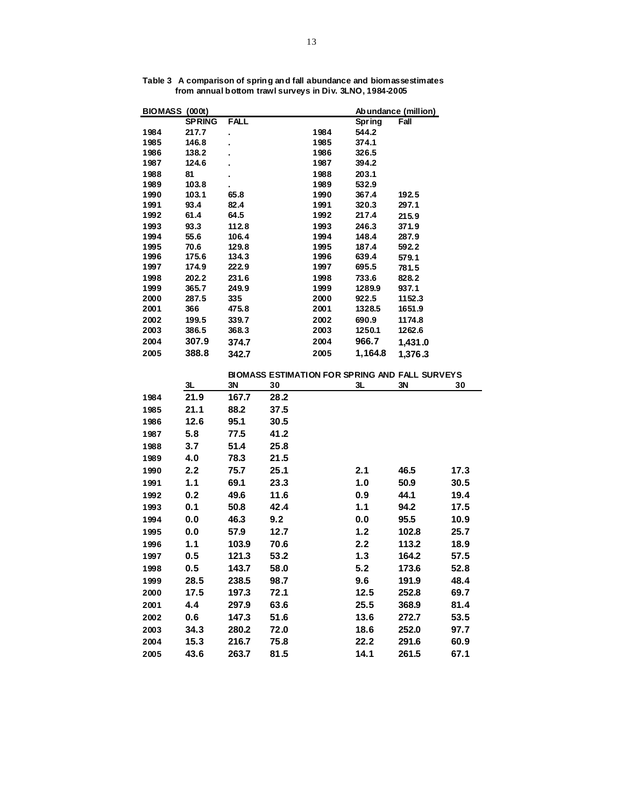| <b>BIOMASS (000t)</b> |               |              |      |              |                | Ab undance (million)                                  |      |
|-----------------------|---------------|--------------|------|--------------|----------------|-------------------------------------------------------|------|
|                       | <b>SPRING</b> | FALL         |      |              | <b>Spring</b>  | Fall                                                  |      |
| 1984                  | 217.7         | l,           |      | 1984         | 544.2          |                                                       |      |
| 1985                  | 146.8         |              |      | 1985         | 374.1          |                                                       |      |
| 1986                  | 138.2         |              |      | 1986         | 326.5          |                                                       |      |
| 1987                  | 124.6         |              |      | 1987         | 394.2          |                                                       |      |
| 1988                  | 81            |              |      | 1988         | 203.1          |                                                       |      |
| 1989                  | 103.8         |              |      | 1989         | 532.9          |                                                       |      |
| 1990                  | 103.1         | 65.8         |      | 1990         | 367.4          | 192.5                                                 |      |
| 1991<br>1992          | 93.4<br>61.4  | 82.4<br>64.5 |      | 1991<br>1992 | 320.3<br>217.4 | 297.1                                                 |      |
| 1993                  | 93.3          | 112.8        |      | 1993         | 246.3          | 215.9<br>371.9                                        |      |
| 1994                  | 55.6          | 106.4        |      | 1994         | 148.4          | 287.9                                                 |      |
| 1995                  | 70.6          | 129.8        |      | 1995         | 187.4          | 592.2                                                 |      |
| 1996                  | 175.6         | 134.3        |      | 1996         | 639.4          | 579.1                                                 |      |
| 1997                  | 174.9         | 222.9        |      | 1997         | 695.5          | 781.5                                                 |      |
| 1998                  | 202.2         | 231.6        |      | 1998         | 733.6          | 828.2                                                 |      |
| 1999                  | 365.7         | 249.9        |      | 1999         | 1289.9         | 937.1                                                 |      |
| 2000                  | 287.5         | 335          |      | 2000         | 922.5          | 1152.3                                                |      |
| 2001                  | 366           | 475.8        |      | 2001         | 1328.5         | 1651.9                                                |      |
| 2002                  | 199.5         | 339.7        |      | 2002         | 690.9          | 1174.8                                                |      |
| 2003                  | 386.5         | 368.3        |      | 2003         | 1250.1         | 1262.6                                                |      |
| 2004                  | 307.9         | 374.7        |      | 2004         | 966.7          | 1,431.0                                               |      |
| 2005                  | 388.8         | 342.7        |      | 2005         | 1,164.8        | 1,376.3                                               |      |
|                       |               |              |      |              |                | <b>BIOMASS ESTIMATION FOR SPRING AND FALL SURVEYS</b> |      |
|                       | 3L            | 3N           | 30   |              | 3L             | 3N                                                    | 30   |
| 1984                  | 21.9          | 167.7        | 28.2 |              |                |                                                       |      |
| 1985                  | 21.1          | 88.2         | 37.5 |              |                |                                                       |      |
| 1986                  | 12.6          | 95.1         | 30.5 |              |                |                                                       |      |
| 1987                  | 5.8           | 77.5         | 41.2 |              |                |                                                       |      |
| 1988                  | 3.7           | 51.4         | 25.8 |              |                |                                                       |      |
| 1989                  | 4.0           | 78.3         | 21.5 |              |                |                                                       |      |
|                       |               | 75.7         | 25.1 |              |                | 46.5                                                  | 17.3 |
| 1990                  | 2.2           |              |      |              | 2.1            |                                                       |      |
| 1991                  | 1.1           | 69.1         | 23.3 |              | 1.0            | 50.9                                                  | 30.5 |
| 1992                  | 0.2           | 49.6         | 11.6 |              | 0.9            | 44.1                                                  | 19.4 |
| 1993                  | 0.1           | 50.8         | 42.4 |              | 1.1            | 94.2                                                  | 17.5 |
| 1994                  | 0.0           | 46.3         | 9.2  |              | 0.0            | 95.5                                                  | 10.9 |
| 1995                  | 0.0           | 57.9         | 12.7 |              | 1.2            | 102.8                                                 | 25.7 |
| 1996                  | 1.1           | 103.9        | 70.6 |              | 2.2            | 113.2                                                 | 18.9 |
| 1997                  | 0.5           | 121.3        | 53.2 |              | 1.3            | 164.2                                                 | 57.5 |
| 1998                  | 0.5           | 143.7        | 58.0 |              | 5.2            | 173.6                                                 | 52.8 |
| 1999                  | 28.5          | 238.5        | 98.7 |              | 9.6            | 191.9                                                 | 48.4 |
| 2000                  | 17.5          | 197.3        | 72.1 |              | 12.5           | 252.8                                                 | 69.7 |
|                       |               |              |      |              |                |                                                       |      |
| 2001                  | 4.4           | 297.9        | 63.6 |              | 25.5           | 368.9                                                 | 81.4 |
| 2002                  | 0.6           | 147.3        | 51.6 |              | 13.6           | 272.7                                                 | 53.5 |
| 2003                  | 34.3          | 280.2        | 72.0 |              | 18.6           | 252.0                                                 | 97.7 |
| 2004                  | 15.3          | 216.7        | 75.8 |              | 22.2           | 291.6                                                 | 60.9 |
| 2005                  | 43.6          | 263.7        | 81.5 |              | 14.1           | 261.5                                                 | 67.1 |

**Table 3 A comparison of spring and fall abundance and biomassestimates from annual bottom trawl surveys in Div. 3LNO, 1984-2005**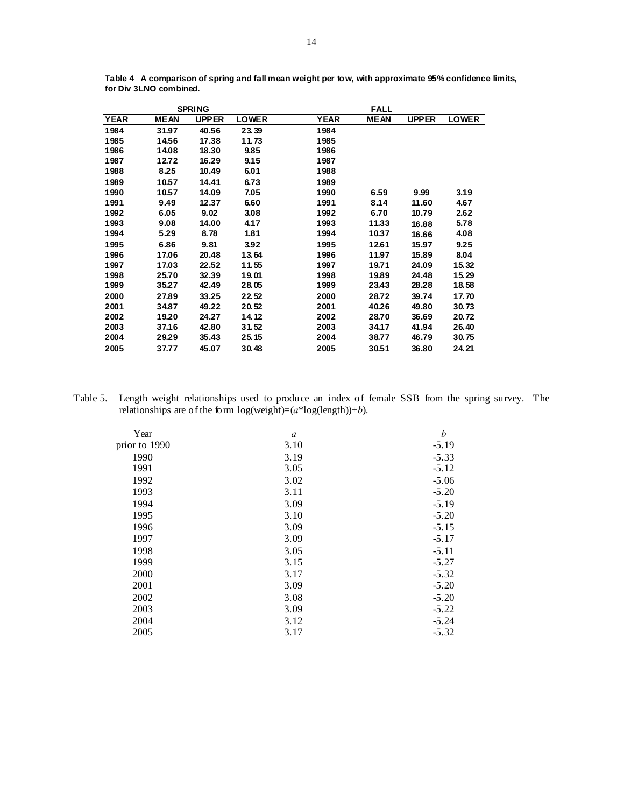|             |             | <b>SPRING</b> |              |             | <b>FALL</b> |              |              |
|-------------|-------------|---------------|--------------|-------------|-------------|--------------|--------------|
| <b>YEAR</b> | <b>MEAN</b> | <b>UPPER</b>  | <b>LOWER</b> | <b>YEAR</b> | <b>MEAN</b> | <b>UPPER</b> | <b>LOWER</b> |
| 1984        | 31.97       | 40.56         | 23.39        | 1984        |             |              |              |
| 1985        | 14.56       | 17.38         | 11.73        | 1985        |             |              |              |
| 1986        | 14.08       | 18.30         | 9.85         | 1986        |             |              |              |
| 1987        | 12.72       | 16.29         | 9.15         | 1987        |             |              |              |
| 1988        | 8.25        | 10.49         | 6.01         | 1988        |             |              |              |
| 1989        | 10.57       | 14.41         | 6.73         | 1989        |             |              |              |
| 1990        | 10.57       | 14.09         | 7.05         | 1990        | 6.59        | 9.99         | 3.19         |
| 1991        | 9.49        | 12.37         | 6.60         | 1991        | 8.14        | 11.60        | 4.67         |
| 1992        | 6.05        | 9.02          | 3.08         | 1992        | 6.70        | 10.79        | 2.62         |
| 1993        | 9.08        | 14.00         | 4.17         | 1993        | 11.33       | 16.88        | 5.78         |
| 1994        | 5.29        | 8.78          | 1.81         | 1994        | 10.37       | 16.66        | 4.08         |
| 1995        | 6.86        | 9.81          | 3.92         | 1995        | 12.61       | 15.97        | 9.25         |
| 1996        | 17.06       | 20.48         | 13.64        | 1996        | 11.97       | 15.89        | 8.04         |
| 1997        | 17.03       | 22.52         | 11.55        | 1997        | 19.71       | 24.09        | 15.32        |
| 1998        | 25.70       | 32.39         | 19.01        | 1998        | 19.89       | 24.48        | 15.29        |
| 1999        | 35.27       | 42.49         | 28.05        | 1999        | 23.43       | 28.28        | 18.58        |
| 2000        | 27.89       | 33.25         | 22.52        | 2000        | 28.72       | 39.74        | 17.70        |
| 2001        | 34.87       | 49.22         | 20.52        | 2001        | 40.26       | 49.80        | 30.73        |
| 2002        | 19.20       | 24.27         | 14.12        | 2002        | 28.70       | 36.69        | 20.72        |
| 2003        | 37.16       | 42.80         | 31.52        | 2003        | 34.17       | 41.94        | 26.40        |
| 2004        | 29.29       | 35.43         | 25.15        | 2004        | 38.77       | 46.79        | 30.75        |
| 2005        | 37.77       | 45.07         | 30.48        | 2005        | 30.51       | 36.80        | 24.21        |

**Table 4 A comparison of spring and fall mean weight per tow, with approximate 95% confidence limits, for Div 3LNO combined.**

Table 5. Length weight relationships used to produce an index of female SSB from the spring survey. The relationships are of the form  $log(weight)=(a*log(length))+b)$ .

| Year          | $\boldsymbol{a}$ | h       |
|---------------|------------------|---------|
| prior to 1990 | 3.10             | $-5.19$ |
| 1990          | 3.19             | $-5.33$ |
| 1991          | 3.05             | $-5.12$ |
| 1992          | 3.02             | $-5.06$ |
| 1993          | 3.11             | $-5.20$ |
| 1994          | 3.09             | $-5.19$ |
| 1995          | 3.10             | $-5.20$ |
| 1996          | 3.09             | $-5.15$ |
| 1997          | 3.09             | $-5.17$ |
| 1998          | 3.05             | $-5.11$ |
| 1999          | 3.15             | $-5.27$ |
| 2000          | 3.17             | $-5.32$ |
| 2001          | 3.09             | $-5.20$ |
| 2002          | 3.08             | $-5.20$ |
| 2003          | 3.09             | $-5.22$ |
| 2004          | 3.12             | $-5.24$ |
| 2005          | 3.17             | $-5.32$ |
|               |                  |         |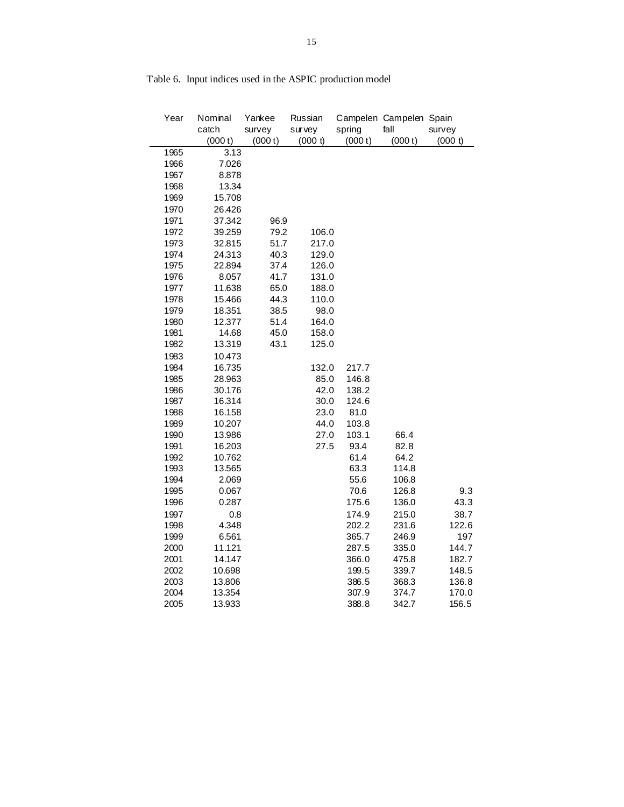| Year | Nominal | Yankee  | Russian |         | Campelen Campelen Spain |         |
|------|---------|---------|---------|---------|-------------------------|---------|
|      | catch   | survey  | survey  | spring  | fall                    | survey  |
|      | (000 t) | (000 t) | (000 t) | (000 t) | (000 t)                 | (000 t) |
| 1965 | 3.13    |         |         |         |                         |         |
| 1966 | 7.026   |         |         |         |                         |         |
| 1967 | 8.878   |         |         |         |                         |         |
| 1968 | 13.34   |         |         |         |                         |         |
| 1969 | 15.708  |         |         |         |                         |         |
| 1970 | 26.426  |         |         |         |                         |         |
| 1971 | 37.342  | 96.9    |         |         |                         |         |
| 1972 | 39.259  | 79.2    | 106.0   |         |                         |         |
| 1973 | 32.815  | 51.7    | 217.0   |         |                         |         |
| 1974 | 24.313  | 40.3    | 129.0   |         |                         |         |
| 1975 | 22.894  | 37.4    | 126.0   |         |                         |         |
| 1976 | 8.057   | 41.7    | 131.0   |         |                         |         |
| 1977 | 11.638  | 65.0    | 188.0   |         |                         |         |
| 1978 | 15.466  | 44.3    | 110.0   |         |                         |         |
| 1979 | 18.351  | 38.5    | 98.0    |         |                         |         |
| 1980 | 12.377  | 51.4    | 164.0   |         |                         |         |
| 1981 | 14.68   | 45.0    | 158.0   |         |                         |         |
| 1982 | 13.319  | 43.1    | 125.0   |         |                         |         |
| 1983 | 10.473  |         |         |         |                         |         |
| 1984 | 16.735  |         | 132.0   | 217.7   |                         |         |
| 1985 | 28.963  |         | 85.0    | 146.8   |                         |         |
| 1986 | 30.176  |         | 42.0    | 138.2   |                         |         |
| 1987 | 16.314  |         | 30.0    | 124.6   |                         |         |
| 1988 | 16.158  |         | 23.0    | 81.0    |                         |         |
| 1989 | 10.207  |         | 44.0    | 103.8   |                         |         |
| 1990 | 13.986  |         | 27.0    | 103.1   | 66.4                    |         |
| 1991 | 16.203  |         | 27.5    | 93.4    | 82.8                    |         |
| 1992 | 10.762  |         |         | 61.4    | 64.2                    |         |
| 1993 | 13.565  |         |         | 63.3    | 114.8                   |         |
| 1994 | 2.069   |         |         | 55.6    | 106.8                   |         |
| 1995 | 0.067   |         |         | 70.6    | 126.8                   | 9.3     |
| 1996 | 0.287   |         |         | 175.6   | 136.0                   | 43.3    |
| 1997 | 0.8     |         |         | 174.9   | 215.0                   | 38.7    |
| 1998 | 4.348   |         |         | 202.2   | 231.6                   | 122.6   |
| 1999 | 6.561   |         |         | 365.7   | 246.9                   | 197     |
| 2000 | 11.121  |         |         | 287.5   | 335.0                   | 144.7   |
| 2001 | 14.147  |         |         | 366.0   | 475.8                   | 182.7   |
| 2002 | 10.698  |         |         | 199.5   | 339.7                   | 148.5   |
| 2003 | 13.806  |         |         | 386.5   | 368.3                   | 136.8   |
| 2004 | 13.354  |         |         | 307.9   | 374.7                   | 170.0   |
| 2005 | 13.933  |         |         | 388.8   | 342.7                   | 156.5   |

# Table 6. Input indices used in the ASPIC production model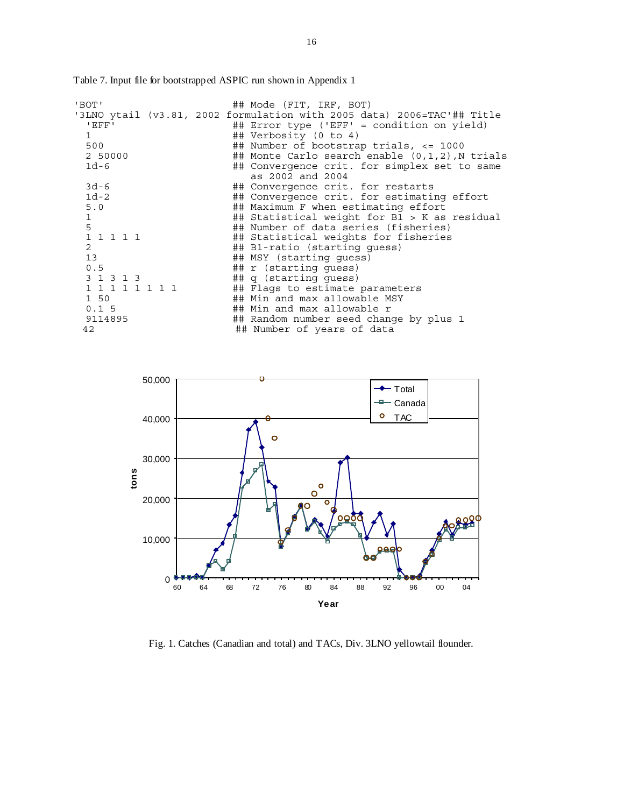| 'BOT'<br>'EFF'<br>$\mathbf{1}$<br>500<br>2 50000<br>$1d-6$                                                                            |  | ## Mode (FIT, IRF, BOT)<br>'3LNO ytail (v3.81, 2002 formulation with 2005 data) 2006=TAC'## Title<br>## Error type ('EFF' = condition on yield)<br>## Verbosity (0 to 4)<br>## Number of bootstrap trials, $\epsilon$ = 1000<br>## Monte Carlo search enable $(0,1,2)$ , N trials<br>## Convergence crit. for simplex set to same<br>as 2002 and 2004                                                      |
|---------------------------------------------------------------------------------------------------------------------------------------|--|------------------------------------------------------------------------------------------------------------------------------------------------------------------------------------------------------------------------------------------------------------------------------------------------------------------------------------------------------------------------------------------------------------|
| $3d-6$<br>$1d-2$<br>5.0<br>$\mathbf{1}$<br>5<br>1 1 1 1 1<br>$\overline{2}$<br>13 <sup>1</sup><br>0.5<br>3 1 3 1 3<br>1 1 1 1 1 1 1 1 |  | ## Convergence crit. for restarts<br>## Convergence crit. for estimating effort<br>## Maximum F when estimating effort<br>## Statistical weight for B1 > K as residual<br>## Number of data series (fisheries)<br>## Statistical weights for fisheries<br>## B1-ratio (starting quess)<br>## MSY (starting quess)<br>$\#$ $r$ (starting quess)<br>## q (starting quess)<br>## Flags to estimate parameters |
| 1 50<br>0.15<br>9114895<br>42                                                                                                         |  | ## Min and max allowable MSY<br>## Min and max allowable r<br>## Random number seed change by plus 1<br>## Number of years of data                                                                                                                                                                                                                                                                         |

Table 7. Input file for bootstrapped ASPIC run shown in Appendix 1

50,000 - Total ÷. Canada  $\circ$ TAC 40,000  $\circ$ 30,000 **tons**  $\circ$  $\overline{O}$ 20,000  $\overline{\Omega}$ 888 10,000 0 60 64 68 72 76 80 84 88 92 96 00 04 **Year**

Fig. 1. Catches (Canadian and total) and TACs, Div. 3LNO yellowtail flounder.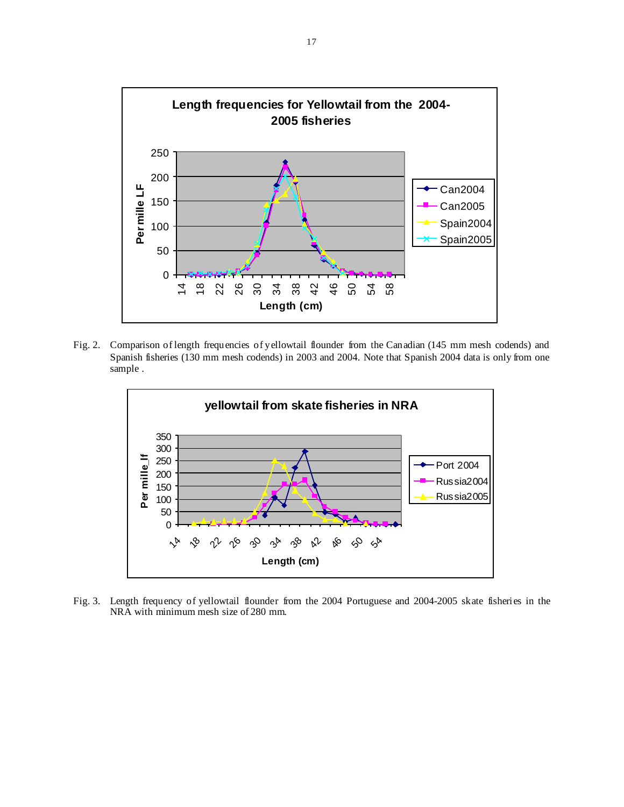

Fig. 2. Comparison of length frequencies of yellowtail flounder from the Canadian (145 mm mesh codends) and Spanish fisheries (130 mm mesh codends) in 2003 and 2004. Note that Spanish 2004 data is only from one sample .



Fig. 3. Length frequency of yellowtail flounder from the 2004 Portuguese and 2004-2005 skate fisheries in the NRA with minimum mesh size of 280 mm.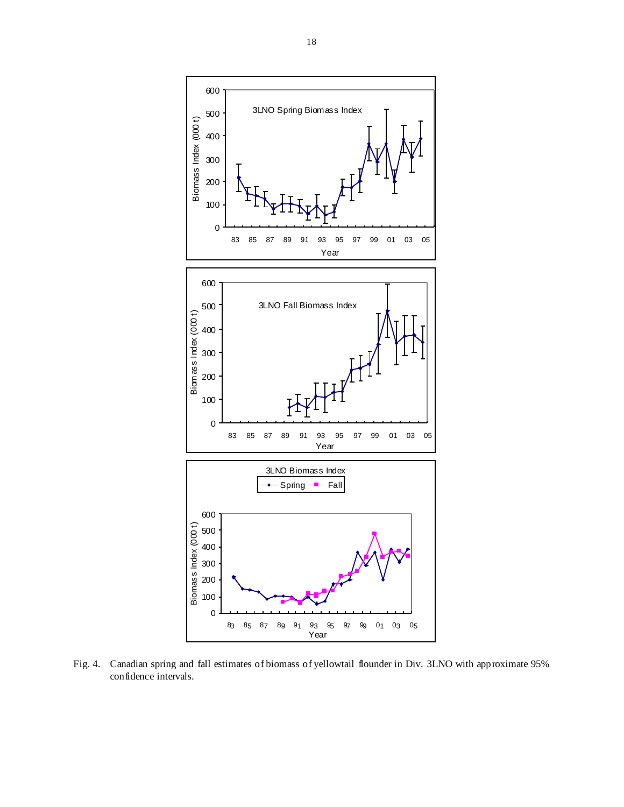

Fig. 4. Canadian spring and fall estimates of biomass of yellowtail flounder in Div. 3LNO with approximate 95% confidence intervals.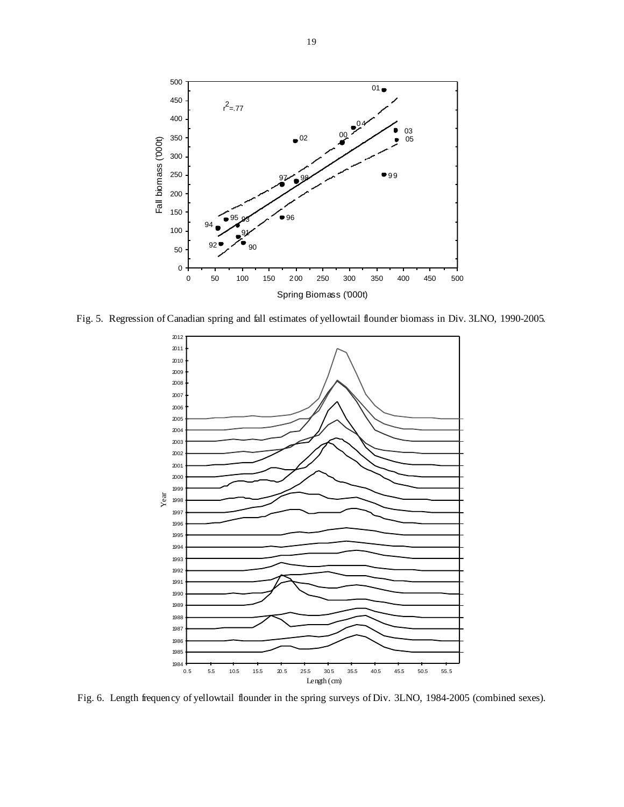

Fig. 5. Regression of Canadian spring and fall estimates of yellowtail flounder biomass in Div. 3LNO, 1990-2005.



Fig. 6. Length frequency of yellowtail flounder in the spring surveys of Div. 3LNO, 1984-2005 (combined sexes).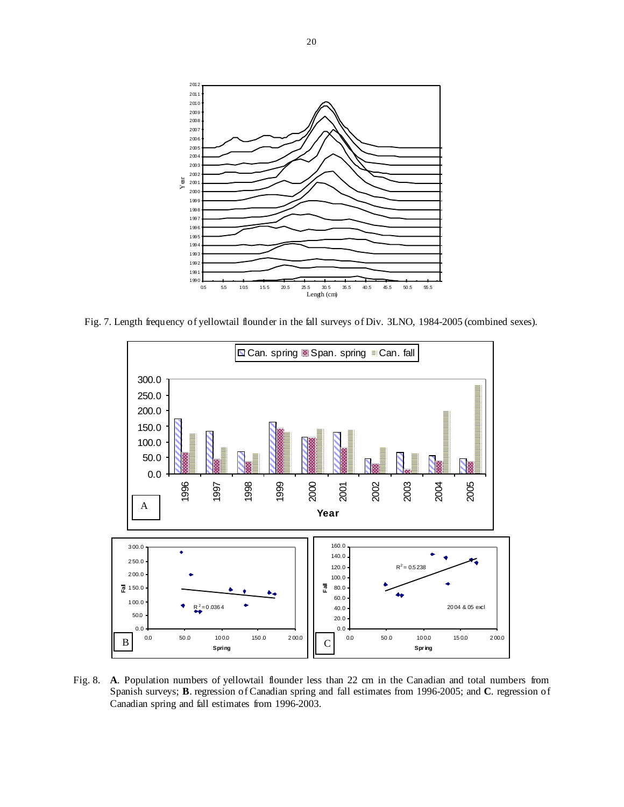

Fig. 7. Length frequency of yellowtail flounder in the fall surveys of Div. 3LNO, 1984-2005 (combined sexes).



Fig. 8. **A**. Population numbers of yellowtail flounder less than 22 cm in the Canadian and total numbers from Spanish surveys; **B**. regression of Canadian spring and fall estimates from 1996-2005; and **C**. regression of Canadian spring and fall estimates from 1996-2003.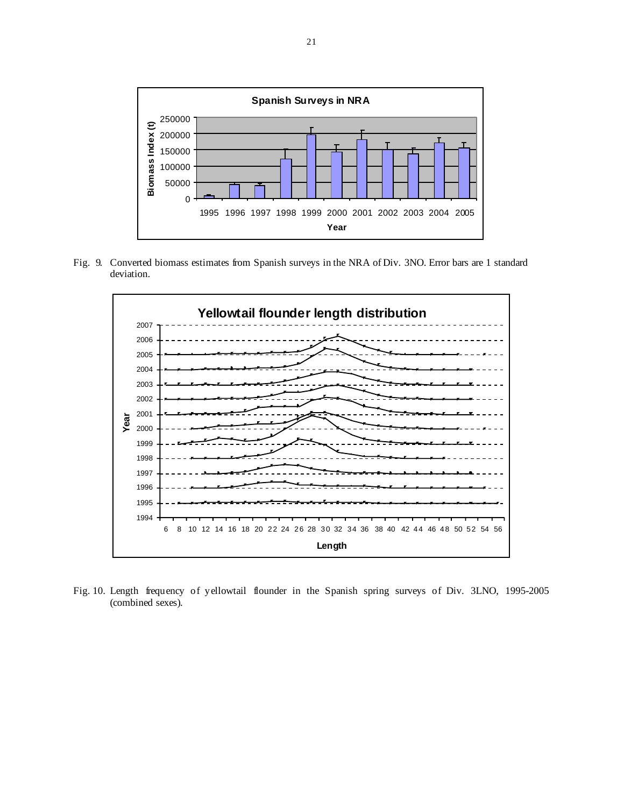

Fig. 9. Converted biomass estimates from Spanish surveys in the NRA of Div. 3NO. Error bars are 1 standard deviation.



Fig. 10. Length frequency of yellowtail flounder in the Spanish spring surveys of Div. 3LNO, 1995-2005 (combined sexes).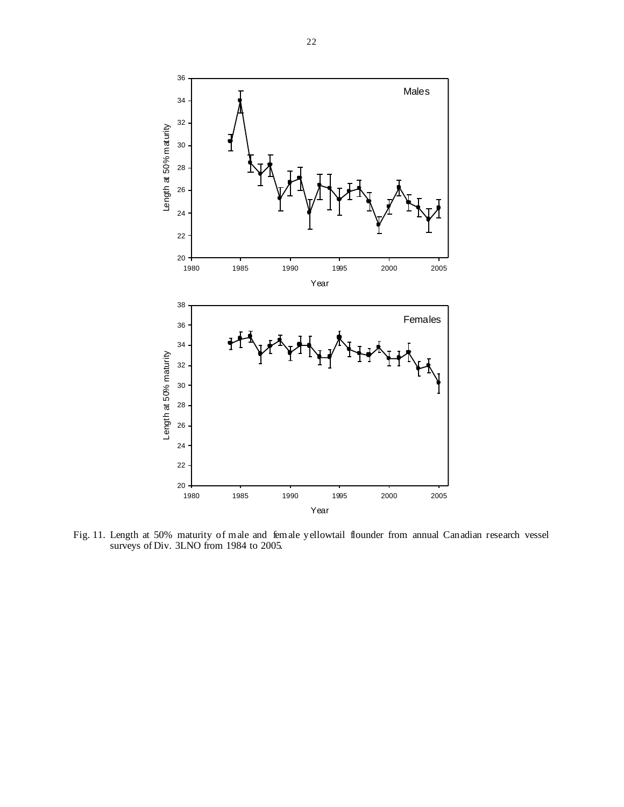

Fig. 11. Length at 50% maturity of male and female yellowtail flounder from annual Canadian research vessel surveys of Div. 3LNO from 1984 to 2005.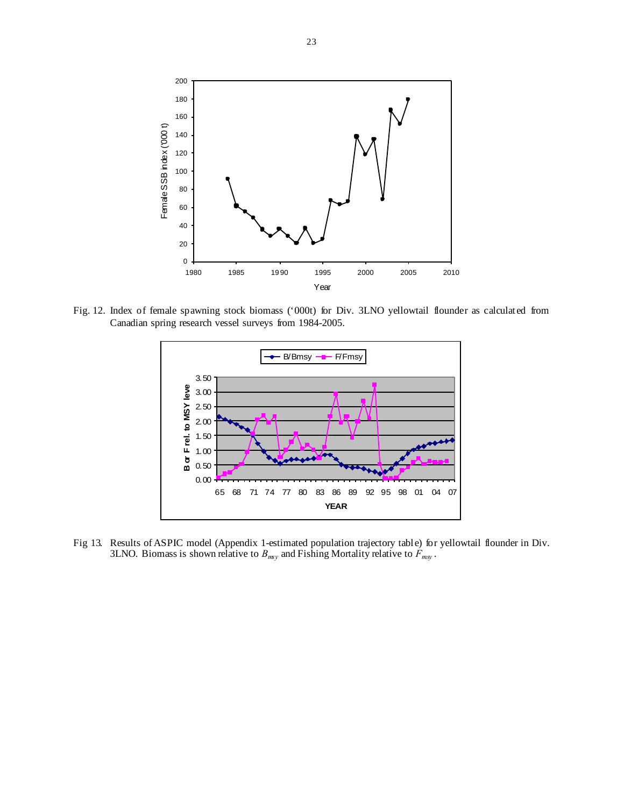

Fig. 12. Index of female spawning stock biomass ('000t) for Div. 3LNO yellowtail flounder as calculated from Canadian spring research vessel surveys from 1984-2005.



Fig 13. Results of ASPIC model (Appendix 1-estimated population trajectory table) for yellowtail flounder in Div. 3LNO. Biomass is shown relative to  $B_{mxy}$  and Fishing Mortality relative to  $F_{mxy}$ .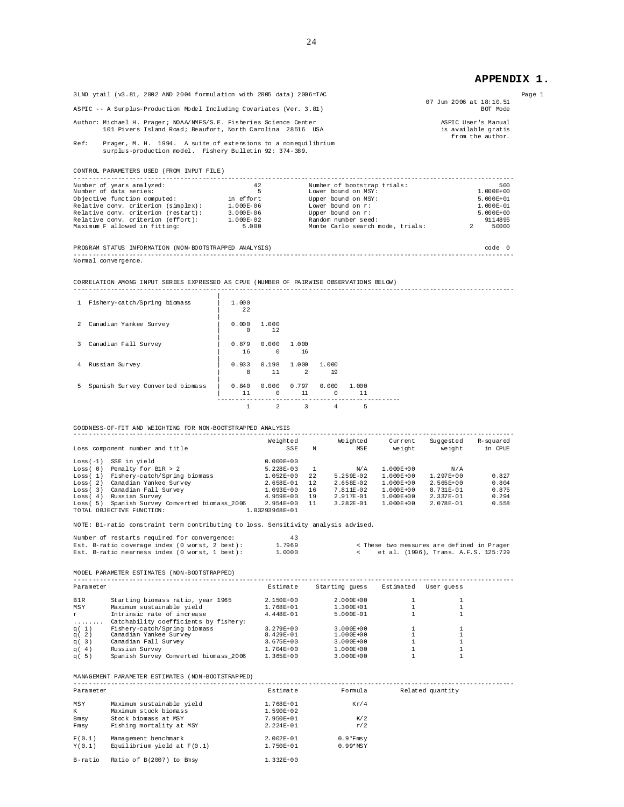## **APPENDIX 1.**

| 3LNO ytail (v3.81, 2002 AND 2004 formulation with 2005 data) 2006=TAC                                                            | Page 1                                                         |  |
|----------------------------------------------------------------------------------------------------------------------------------|----------------------------------------------------------------|--|
| ASPIC -- A Surplus-Production Model Including Covariates (Ver. 3.81)                                                             | 07 Jun 2006 at 18:10.51<br>BOT Mode                            |  |
| Author: Michael H. Prager; NOAA/NMFS/S.E. Fisheries Science Center<br>101 Pivers Island Road; Beaufort, North Carolina 28516 USA | ASPIC User's Manual<br>is available gratis<br>from the author. |  |
| Ref:<br>Prager, M. H. 1994. A suite of extensions to a nonequilibrium<br>surplus-production model. Fishery Bulletin 92: 374-389. |                                                                |  |

CONTROL PARAMETERS USED (FROM INPUT FILE)

| Number of years analyzed:           | 42            | Number of bootstrap trials:      | 500           |
|-------------------------------------|---------------|----------------------------------|---------------|
| Number of data series:              |               | Lower bound on MSY:              | $1.000E + 00$ |
| Objective function computed:        | in effort     | Upper bound on MSY:              | $5.000E+01$   |
| Relative conv. criterion (simplex): | 1.000E-06     | Lower bound on r:                | 1.000E-01     |
| Relative conv. criterion (restart): | $3.000E - 06$ | Upper bound on r:                | $5.000E+00$   |
| Relative conv. criterion (effort):  | 1.000E-02     | Random number seed:              | 91 1 48 95    |
| Maximum F allowed in fitting:       | 5.000         | Monte Carlo search mode, trials: | 50000         |
|                                     |               |                                  |               |

PROGRAM STATUS INFORMATION (NON-BOOTSTRAPPED ANALYSIS) code 0 ------------------------------------------------------------------------------------------------------------------------ Normal convergence.

CORRELATION AMONG INPUT SERIES EXPRESSED AS CPUE (NUMBER OF PAIRWISE OBSERVATIONS BELOW)

| 1 Fishery-catch/Spring biomass     | 1.000<br>22       |                     |                        |                   |             |  |
|------------------------------------|-------------------|---------------------|------------------------|-------------------|-------------|--|
| 2 Canadian Yankee Survey           | 0.000<br>$\Omega$ | 1,000<br>12         |                        |                   |             |  |
| 3 Canadian Fall Survey             | 0.879<br>16       | 0.000<br>$^{\circ}$ | 1.000<br>16            |                   |             |  |
| 4 Russian Survey                   | 0.933<br>8        | 0.198<br>11         | 1.000<br>$\mathcal{L}$ | 1.000<br>19       |             |  |
| 5 Spanish Survey Converted biomass | 0.840<br>11       | 0.000<br>$\Omega$   | 0.797<br>11            | 0.000<br>$\Omega$ | 1,000<br>11 |  |
|                                    |                   | 2                   | 3                      | 4                 | 5           |  |

GOODNESS-OF-FIT AND WEIGHTING FOR NON-BOOTSTRAPPED ANALYSIS

| Loss component number and title                                               | Weighted<br>SSE                 | N   | Weighted<br>MSE | Current<br>weight | Suggested<br>weight | R-squared<br>in CPUE |
|-------------------------------------------------------------------------------|---------------------------------|-----|-----------------|-------------------|---------------------|----------------------|
| SSE in vield<br>Loss $(-1)$                                                   | $0.000E + 00$                   |     |                 |                   |                     |                      |
| Penalty for $B1R > 2$<br>Loss(0)                                              | $5.228E - 03$                   |     | N/A             | $1.000E + 00$     | N/A                 |                      |
| Fishery-catch/Spring biomass<br>Loss(1)                                       | $1.052E + 00$                   | 2.2 | $5.259E - 0.2$  | $1.000E + 00$     | $1.297E + 00$       | 0.827                |
| Canadian Yankee Survey<br>Loss(2)                                             | $2.658E - 01$                   | 12  | $2.658E - 0.2$  | $1.000E + 00$     | $2.565E + 00$       | 0.804                |
| Canadian Fall Survey<br>Loss(3)                                               | $1.093E + 00$                   | 16  | $7.811E - 0.2$  | $1.000E + 00$     | $8.731E - 01$       | 0.875                |
| Russian Survey<br>Loss(4)                                                     | $4.959E + 00$                   | 19  | 2.917E-01       | 1.000E+00         | 2.337E-01           | 0.294                |
| Spanish Survey Converted biomass 2006<br>Loss(5)<br>TOTAL OBJECTIVE FUNCTION: | $2.954E + 00$<br>1.03293968E+01 | 11  | $3.282E - 01$   | $1.000E + 00$     | $2.078E - 01$       | 0.558                |

NOTE: B1-ratio constraint term contributing to loss. Sensitivity analysis advised.

| Number of restarts required for convergence:   | 43     |  |  |  |                                            |
|------------------------------------------------|--------|--|--|--|--------------------------------------------|
| Est. B-ratio coverage index (0 worst, 2 best): | 1.7969 |  |  |  | < These two measures are defined in Prager |
| Est. B-ratio nearness index (0 worst, 1 best): | 1,0000 |  |  |  | et al. (1996), Trans. A.F.S. 125:729       |

MODEL PARAMETER ESTIMATES (NON-BOOTSTRAPPED)

| Parameter |                                       | Estimate      | Starting quess | Estimated | User quess |
|-----------|---------------------------------------|---------------|----------------|-----------|------------|
| B1R       | Starting biomass ratio, year 1965     | 2.150E+00     | $2.000E + 00$  |           |            |
| MSY       | Maximum sustainable yield             | $1.768E + 01$ | 1.300E+01      |           |            |
| <b>r</b>  | Intrinsic rate of increase            | $4.448E - 01$ | $5.000E - 01$  |           |            |
| .         | Catchability coefficients by fishery: |               |                |           |            |
| q( $1$ )  | Fishery-catch/Spring biomass          | $3.279E + 00$ | $3.000E + 00$  |           |            |
| q(2)      | Canadian Yankee Survey                | 8.429E-01     | $1.000E + 00$  |           |            |
| q(3)      | Canadian Fall Survey                  | $3.675E + 00$ | $3.000E + 00$  |           |            |
| q(4)      | Russian Survey                        | $1.704E + 00$ | $1.000E + 00$  |           |            |
| q(5)      | Spanish Survey Converted biomass 2006 | $1.365E + 00$ | $3.000E + 00$  |           |            |

MANAGEMENT PARAMETER ESTIMATES (NON-BOOTSTRAPPED)

| Parameter |                               | Estimate      | Formula    | Related quantity |
|-----------|-------------------------------|---------------|------------|------------------|
| MSY       | Maximum sustainable yield     | 1.768E+01     | Kr/4       |                  |
| К         | Maximum stock biomass         | $1.590E + 02$ |            |                  |
| Bmsy      | Stock biomass at MSY          | 7.950E+01     | K/2        |                  |
| Fmsv      | Fishing mortality at MSY      | $2.224E - 01$ | r/2        |                  |
| F(0,1)    | Management benchmark          | $2.002E - 01$ | $0.9*Fmsy$ |                  |
| Y(0,1)    | Equilibrium yield at $F(0.1)$ | 1.750E+01     | $0.99*MSY$ |                  |
| B-ratio   | Ratio of B(2007) to Bmsy      | $1.332E + 00$ |            |                  |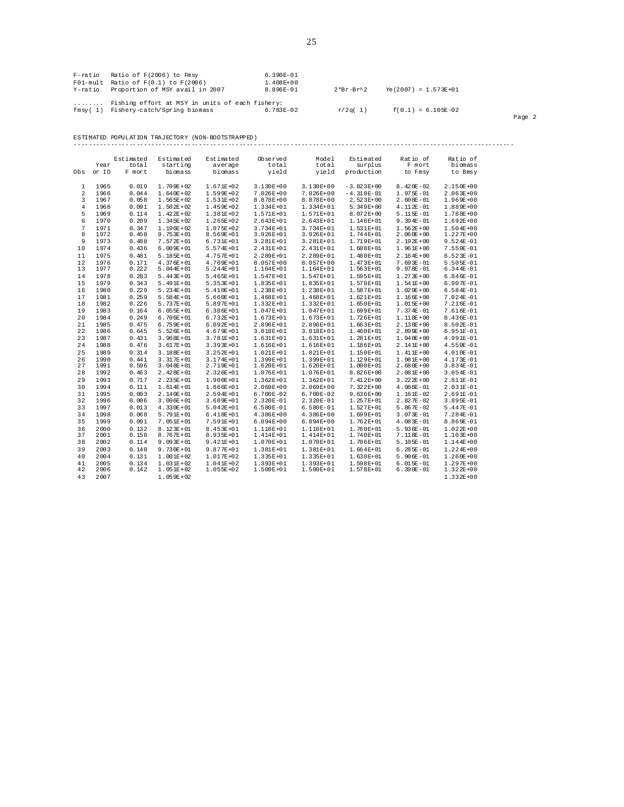| F-ratio | Ratio of F(2006) to Fmsy<br>$F01$ -mult Ratio of $F(0.1)$ to $F(2006)$<br>Y-ratio Proportion of MSY avail in 2007 | 6.390E-01<br>$1.408E + 00$<br>8.896E-01 | $2*Br-Br^2$ | $Ye(2007) = 1.573E+01$ |        |
|---------|-------------------------------------------------------------------------------------------------------------------|-----------------------------------------|-------------|------------------------|--------|
|         | Fishing effort at MSY in units of each fishery:<br>fmsy(1) Fishery-catch/Spring biomass                           | 6.783E-02                               | r/2q(1)     | $f(0.1) = 6.105E-02$   | Page 2 |

ESTIMATED POPULATION TRAJECTORY (NON-BOOTSTRAPPED)

|          |              | Estimated      | Estimated                      | Estimated                  | Observed               | Model                        | Estimated              | Ratio of                       | Ratio of                       |
|----------|--------------|----------------|--------------------------------|----------------------------|------------------------|------------------------------|------------------------|--------------------------------|--------------------------------|
|          | Year         | total          | starting                       | average                    | total                  | total                        | surplus                | F mort                         | biomass                        |
| Obs      | or ID        | F mort         | bi omass                       | biomass                    | yield                  | yield                        | production             | to Fmsy                        | to Bmsy                        |
| 1        | 1965         | 0.019          | $1.709E + 02$                  | 1.671E+02                  | $3.130E + 00$          | $3.130E + 00$                | $-3.823E+00$           | $8.420E - 02$                  | 2.150E+00                      |
| 2        | 1966         | 0.044          | $1.640E + 02$                  | 1.599E+02                  | $7.026E + 00$          | $7.026E + 00$                | $-4.310E-01$           | $1.975E-01$                    | $2.063E + 00$                  |
| 3        | 1967         | 0.058          | $1.565E + 02$                  | 1.531E+02                  | 8.878E+00              | 8.878E+00                    | $2.523E+00$            | $2.608E - 01$                  | 1.969E+00                      |
| 4        | 1968         | 0.091          | $1.502E + 02$                  | 1.459E+02                  | 1.334E+01              | $1.334E+01$                  | $5.349E+00$            | $4.112E-01$                    | 1.889E+00                      |
| 5        | 1969         | 0.114          | $1.422E+02$                    | 1.381E+02                  | 1.571E+01              | 1.571E+01                    | 8.072E+00              | $5.115E-01$                    | 1.788E+00                      |
| 6        | 1970         | 0.209          | $1.345E + 02$                  | 1.265E+02                  | 2.643E+01              | 2.643E+01                    | 1.146E+01              | $9.394E - 01$                  | $1.692E + 00$                  |
| 7        | 1971         | 0.347          | $1.196E + 02$                  | $1.075E + 0.2$             | 3.734E+01              | $3.734E + 01$                | $1.531E+01$            | $1.562E + 00$                  | $1.504E + 00$                  |
| 8<br>9   | 1972<br>1973 | 0.458<br>0.488 | $9.753E + 01$                  | 8.569E+01                  | 3.926E+01              | $3.926E + 01$                | 1.744E+01<br>1.719E+01 | $2.060E + 00$                  | $1.227E + 00$<br>$9.524E - 01$ |
|          |              |                | $7.572E + 01$                  | 6.731E+01                  | 3.281E+01              | $3.281E+01$                  |                        | $2.192E + 00$                  |                                |
| 10       | 1974         | 0.436          | $6.009E + 01$                  | 5.574E+01                  | 2.431E+01              | 2.431E+01                    | $1.608E + 01$          | $1.961E+00$                    | 7.559E-01                      |
| 11       | 1975         | 0.481          | $5.185E + 01$                  | 4.757E+01<br>4.709E+01     | 2.289E+01<br>8.057E+00 | 2.289E+01<br>8.057E+00       | 1.480E+01<br>1.473E+01 | $2.164E + 00$                  | $6.523E - 01$<br>5.505E-01     |
| 12<br>13 | 1976<br>1977 | 0.171<br>0.222 | $4.376E + 01$<br>$5.044E + 01$ | 5.244E+01                  | 1.164E+01              | $1.164E + 01$                | 1.563E+01              | $7.693E - 01$<br>$9.978E - 01$ | $6.344E - 01$                  |
| 14       | 1978         | 0.283          | $5.443E+01$                    | 5.465E+01                  | 1.547E+01              | 1.547E+01                    | 1.595E+01              | $1.273E + 00$                  | 6.846E-01                      |
| 15       | 1979         | 0.343          | $5.491E+01$                    | $5.353E + 01$              | 1.835E+01              | 1.835E+01                    | 1.578E+01              | $1.541E+00$                    | 6.907E-01                      |
| 16       | 1980         | 0.229          | $5.234E + 01$                  | 5.410E+01                  | 1.238E+01              | $1.238E+01$                  | 1.587E+01              | $1.029E + 00$                  | $6.584E - 01$                  |
| 17       | 1981         | 0.259          | $5.584E + 01$                  | $5.660E + 01$              | 1.468E+01              | $1.468E+01$                  | $1.621E+01$            | $1.166E + 00$                  | 7.024E-01                      |
| 18       | 1982         | 0.226          | $5.737E + 01$                  | 5.897E+01                  | 1.332E+01              | $1.332E+01$                  | $1.650E + 01$          | $1.015E + 00$                  | 7.216E-01                      |
| 19       | 1983         | 0.164          | $6.055E + 01$                  | $6.386E + 01$              | 1.047E+01              | 1.047E+01                    | 1.699E+01              | $7.374E - 01$                  | 7.616E-01                      |
| 20       | 1984         | 0.249          | $6.706E + 01$                  | $6.732E + 01$              | 1.673E+01              | 1.673E+01                    | 1.726E+01              | $1.118E + 00$                  | 8.436E-01                      |
| 21       | 1985         | 0.475          | $6.759E + 01$                  | $6.092E + 01$              | 2.896E+01              | 2.896E+01                    | $1.663E+01$            | $2.138E + 00$                  | 8.502E-01                      |
| 22       | 1986         | 0.645          | $5.526E + 01$                  | 4.679E+01                  | 3.018E+01              | $3.018E + 01$                | 1.460E+01              | $2.899E + 00$                  | 6.951E-01                      |
| 23       | 1987         | 0.431          | $3.968E + 01$                  | 3.781E+01                  | 1.631E+01              | $1.631E+01$                  | 1.281E+01              | $1.940E + 00$                  | 4.991E-01                      |
| 24       | 1988         | 0.476          | $3.617E + 01$                  | 3.393E+01                  | 1.616E+01              | 1.616E+01                    | 1.186E+01              | $2.141E+00$                    | 4.550E-01                      |
| 25       | 1989         | 0.314          | $3.188E + 01$                  | 3.252E+01                  | 1.021E+01              | $1.021E+01$                  | 1.150E+01              | $1.411E+00$                    | 4.010E-01                      |
| 26       | 1990         | 0.441          | $3.317E + 01$                  | 3.174E+01                  | 1.399E+01              | 1.399E+01                    | 1.129E+01              | $1.981E+00$                    | 4.173E-01                      |
| 27       | 1991         | 0.596          | $3.048E + 01$                  | 2.719E+01                  | 1.620E+01              | $1.620E + 01$                | $1.000E + 01$          | $2.680E + 00$                  | 3.834E-01                      |
| 28       | 1992         | 0.463          | $2.428E + 01$                  | 2.326E+01                  | 1.076E+01              | 1.076E+01                    | 8.826E+00              | $2.081E+00$                    | 3.054E-01                      |
| 29       | 1993         | 0.717          | $2.235E + 01$                  | 1.900E+01                  | $1.362E + 01$          | $1.362E+01$                  | $7.412E+00$            | $3.222E + 00$                  | 2.811E-01                      |
| 30       | 1994         | 0.111          | $1.614E + 01$                  | 1.866E+01                  | $2.069E + 00$          | $2.069E + 00$                | $7.322E+00$            | $4.986E - 01$                  | 2.031E-01                      |
| 31       | 1995         | 0.003          | $2.140E + 01$                  | 2.594E+01                  | $6.700E - 02$          | $6.700E - 02$                | $9.636E + 00$          | $1.161E-02$                    | 2.691E-01                      |
| 32       | 1996         | 0.006          | $3.096E + 01$                  | $3.689E + 01$              | 2.320E-01              | $2.320E - 01$                | 1.257E+01              | $2.827E-02$                    | 3.895E-01                      |
| 33       | 1997         | 0.013          | $4.330E + 01$                  | $5.042E + 01$              | $6.580E - 01$          | $6.580E-01$                  | 1.527E+01              | $5.867E-02$                    | 5.447E-01                      |
| 34       | 1998         | 0.068          | $5.791E + 01$                  | 6.418E+01                  | $4.386E + 00$          | $4.386E+00$                  | 1.699E+01              | $3.073E - 01$                  | 7.284E-01                      |
| 35       | 1999         | 0.091          | $7.051E + 01$                  | 7.591E+01                  | $6.894E + 00$          | $6.894E + 00$                | $1.762E + 01$          | $4.083E-01$                    | 8.869E-01                      |
| 36       | 2000         | 0.132          | $8.123E + 01$                  | 8.453E+01                  | 1.116E+01              | $1.116E+01$                  | $1.760E + 01$          | $5.936E - 01$                  | $1.022E + 00$                  |
| 37       | 2001         | 0.158          | $8.767E + 01$                  | 8.935E+01                  | 1.414E+01              | $1.414E+01$                  | 1.740E+01              | $7.118E-01$                    | $1.103E + 00$                  |
| 38       | 2002         | 0.114          | $9.093E + 01$                  | 9.421E+01                  | 1.070E+01              | 1.070E+01                    | 1.706E+01              | $5.105E-01$                    | 1.144E+00                      |
| 39       | 2003         | 0.140          | $9.730E + 01$                  | 9.877E+01                  | 1.381E+01              | $1.381E+01$                  | $1.664E+01$            | $6.285E-01$                    | 1.224E+00                      |
| 40       | 2004         | 0.131          | $1.001E + 02$                  | 1.017E+02                  | 1.335E+01              | $1.335E+01$                  | $1.630E + 01$          | $5.906E - 01$                  | $1.260E + 00$                  |
| 41<br>42 | 2005<br>2006 | 0.134<br>0.142 | $1.031E+02$<br>$1.051E+02$     | $1.041E + 02$<br>1.055E+02 | 1.393E+01<br>1.500E+01 | $1.393E+01$<br>$1.500E + 01$ | 1.598E+01<br>1.578E+01 | $6.015E-01$<br>$6.390E-01$     | $1.297E + 00$<br>$1.322E + 00$ |
| 43       | 2.007        |                | $1.059E + 02$                  |                            |                        |                              |                        |                                | $1.332E + 00$                  |
|          |              |                |                                |                            |                        |                              |                        |                                |                                |

------------------------------------------------------------------------------------------------------------------------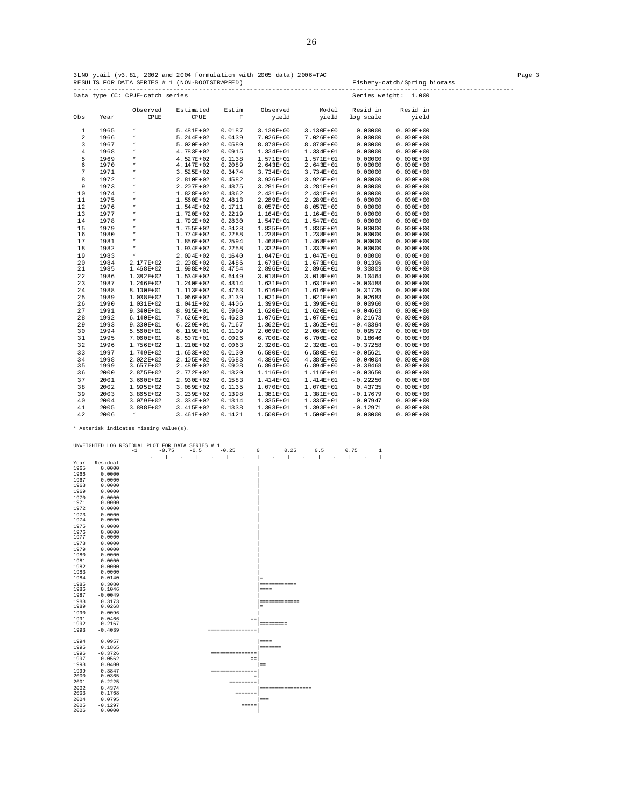| 3LNO ytail (v3.81, 2002 and 2004 formulation with 2005 data) 2006=TAC |                              | Page 3 |
|-----------------------------------------------------------------------|------------------------------|--------|
| RESULTS FOR DATA SERIES # 1 (NON-BOOTSTRAPPED)                        | Fishery-catch/Spring biomass |        |
| Data type CC: CPUE-catch series                                       | Series weight: 1.000         |        |

|                |              | Observed               | Estimated                      | Estim            | Observed                   | Model                        | Resid in              | Resid in                       |
|----------------|--------------|------------------------|--------------------------------|------------------|----------------------------|------------------------------|-----------------------|--------------------------------|
| Obs            | Year         | <b>CPUE</b>            | <b>CPUE</b>                    | F                | yield                      | yield                        | log scale             | yield                          |
|                |              |                        |                                |                  |                            |                              |                       |                                |
| $\mathbf{1}$   | 1965         | $\star$                | $5.481E+02$                    | 0.0187           | $3.130E+00$                | $3.130E + 00$                | 0.00000               | $0.000E + 00$                  |
| $\overline{a}$ | 1966         | $\star$                | $5.244E + 02$                  | 0.0439           | $7.026E + 00$              | $7.026E + 00$                | 0.00000               | $0.000E + 00$                  |
| 3              | 1967         | $\star$                | $5.020E + 02$                  | 0.0580           | 8.878E+00                  | $8.878E + 00$                | 0.00000               | $0.000E + 00$                  |
| $\overline{4}$ | 1968         | $\star$                | $4.783E + 02$                  | 0.0915           | $1.334E+01$                | $1.334E + 01$                | 0.00000               | $0.000E + 00$                  |
| 5              | 1969         | $\star$<br>$\star$     | $4.527E + 02$                  | 0.1138           | $1.571E+01$                | $1.571E + 01$                | 0.00000               | $0.000E + 00$                  |
| 6<br>7         | 1970         | $\star$                | $4.147E + 02$                  | 0.2089           | $2.643E+01$                | $2.643E + 01$                | 0.00000               | $0.000E + 00$                  |
| 8              | 1971         | $\star$                | $3.525E + 02$                  | 0.3474           | $3.734E+01$                | $3.734E + 01$                | 0.00000               | $0.000E + 00$                  |
| 9              | 1972<br>1973 | $\star$                | $2.810E+02$<br>$2.207E + 02$   | 0.4582<br>0.4875 | $3.926E + 01$              | $3.926E + 01$<br>$3.281E+01$ | 0.00000<br>0.00000    | $0.000E + 00$<br>$0.000E + 00$ |
| 10             | 1974         | $\star$                | $1.828E + 02$                  | 0.4362           | $3.281E+01$<br>2.431E+01   | $2.431E + 01$                | 0.00000               | $0.000E + 00$                  |
| 11             | 1975         | $\star$                | $1.560E + 02$                  | 0.4813           | 2.289E+01                  | $2.289E + 01$                | 0.00000               | $0.000E + 00$                  |
| 12             | 1976         | $\star$                | $1.544E+02$                    | 0.1711           | 8.057E+00                  | $8.057E + 00$                | 0.00000               | $0.000E + 00$                  |
| 13             | 1977         | $\star$                | $1.720E + 02$                  | 0.2219           | 1.164E+01                  | $1.164E + 01$                | 0.00000               | $0.000E + 00$                  |
| 14             | 1978         | $\star$                | $1.792E + 02$                  | 0.2830           | 1.547E+01                  | $1.547E + 01$                | 0.00000               | $0.000E + 00$                  |
| 15             | 1979         | $\star$                | $1.755E+02$                    | 0.3428           | 1.835E+01                  | $1.835E + 01$                | 0.00000               | $0.000E + 00$                  |
| 16             | 1980         | $\star$                | $1.774E + 02$                  | 0.2288           | 1.238E+01                  | $1.238E + 01$                | 0.00000               | $0.000E + 00$                  |
| 17             | 1981         | $\star$                | $1.856E+02$                    | 0.2594           | $1.468E+01$                | $1.468E+01$                  | 0.00000               | $0.000E + 00$                  |
| 18             | 1982         | $\star$                | $1.934E + 02$                  | 0.2258           | 1.332E+01                  | $1.332E + 01$                | 0.00000               | $0.000E + 00$                  |
| 19             | 1983         | $\star$                | $2.094E + 02$                  | 0.1640           | $1.047E + 01$              | $1.047E + 01$                | 0.00000               | $0.000E + 00$                  |
| 20             | 1984         | 2.177E+02              | $2.208E + 02$                  | 0.2486           | $1.673E+01$                | $1.673E + 01$                | 0.01396               | $0.000E + 00$                  |
| 21             | 1985         | 1.468E+02              | $1.998E + 02$                  | 0.4754           | 2.896E+01                  | $2.896E + 01$                | 0.30803               | $0.000E + 00$                  |
| 22             | 1986         | $1.382E+02$            | $1.534E + 02$                  | 0.6449           | $3.018E + 01$              | $3.018E + 01$                | 0.10464               | $0.000E + 00$                  |
| 23             | 1987         | $1.246E+02$            | $1.240E + 02$                  | 0.4314           | $1.631E+01$                | $1.631E + 01$                | $-0.00488$            | $0.000E + 00$                  |
| 24             | 1988         | 8.100E+01              | $1.113E+02$                    | 0.4763           | 1.616E+01                  | $1.616E + 01$                | 0.31735               | $0.000E + 00$                  |
| 25             | 1989         | $1.038E+02$            | $1.066E + 02$                  | 0.3139           | 1.021E+01                  | $1.021E + 01$                | 0.02683               | $0.000E + 00$                  |
| 26             | 1990         | 1.031E+02              | $1.041E+02$                    | 0.4406           | 1.399E+01                  | $1.399E + 01$                | 0.00960               | $0.000E + 00$                  |
| 27             | 1991         | 9.340E+01              | $8.915E+01$                    | 0.5960           | $1.620E + 01$              | $1.620E + 01$                | $-0.04663$            | $0.000E + 00$                  |
| 28             | 1992         | $6.140E + 01$          | $7.626E + 01$                  | 0.4628           | 1.076E+01                  | $1.076E + 01$                | 0.21673               | $0.000E + 00$                  |
| 29             | 1993         | 9.330E+01              | $6.229E + 01$                  | 0.7167           | $1.362E + 01$              | $1.362E + 01$                | $-0.40394$            | $0.000E + 00$                  |
| 30             | 1994         | $5.560E+01$            | $6.119E + 01$                  | 0.1109           | $2.069E + 00$              | $2.069E + 00$                | 0.09572               | $0.000E + 00$                  |
| 31             | 1995         | 7.060E+01              | $8.507E + 01$                  | 0.0026           | $6.700E-02$                | $6.700E - 02$                | 0.18646               | $0.000E + 00$                  |
| 32<br>33       | 1996<br>1997 | 1.756E+02<br>1.749E+02 | $1.210E+02$                    | 0.0063           | 2.320E-01                  | $2.320E - 01$                | $-0.37258$            | $0.000E + 00$<br>$0.000E + 00$ |
|                | 1998         | $2.022E + 02$          | $1.653E + 02$<br>$2.105E + 02$ | 0.0130<br>0.0683 | $6.580E-01$                | $6.580E - 01$                | $-0.05621$            | $0.000E + 00$                  |
| 34<br>35       | 1999         | $3.657E + 02$          | $2.489E + 02$                  | 0.0908           | $4.386E+00$<br>$6.894E+00$ | $4.386E+00$<br>$6.894E + 00$ | 0.04004<br>$-0.38468$ | $0.000E + 00$                  |
| 36             | 2000         | 2.875E+02              | $2.772E + 02$                  | 0.1320           | 1.116E+01                  | $1.116E + 01$                | $-0.03650$            | $0.000E + 00$                  |
| 37             | 2001         | $3.660E + 02$          | $2.930E + 02$                  | 0.1583           | 1.414E+01                  | $1.414E+01$                  | $-0.22250$            | $0.000E + 00$                  |
| 38             | 2002         | 1.995E+02              | $3.089E + 02$                  | 0.1135           | 1.070E+01                  | $1.070E + 01$                | 0.43735               | $0.000E + 00$                  |
| 39             | 2003         | 3.865E+02              | $3.239E + 02$                  | 0.1398           | 1.381E+01                  | $1.381E + 01$                | $-0.17679$            | $0.000E + 00$                  |
| 40             | 2004         | 3.079E+02              | $3.334E + 02$                  | 0.1314           | 1.335E+01                  | $1.335E + 01$                | 0.07947               | $0.000E + 00$                  |
| 41             | 2005         | 3.888E+02              | $3.415E+02$                    | 0.1338           | $1.393E+01$                | $1.393E+01$                  | $-0.12971$            | $0.000E + 00$                  |
| 42             | 2006         | $\star$                | $3.461E+02$                    | 0.1421           | $1.500E+01$                | $1.500E + 01$                | 0.00000               | $0.000E + 00$                  |
|                |              |                        |                                |                  |                            |                              |                       |                                |

\* Asterisk indicates missing value(s).

|              | UNWEIGHTED LOG RESIDUAL PLOT FOR DATA SERIES # 1 | $-1$ | $-0.75$                  |                      | $-0.5$ |                      | $-0.25$ |                     | $\Omega$ |                 | 0.25              |    | 0.5 | 0.75                        | $\mathbf{1}$ |
|--------------|--------------------------------------------------|------|--------------------------|----------------------|--------|----------------------|---------|---------------------|----------|-----------------|-------------------|----|-----|-----------------------------|--------------|
|              |                                                  |      |                          | $\ddot{\phantom{a}}$ |        | $\ddot{\phantom{0}}$ |         |                     |          |                 |                   | l. |     |                             |              |
| Year         | Residual                                         |      |                          |                      |        |                      |         |                     |          |                 |                   |    |     |                             |              |
| 1965         | 0.0000                                           |      |                          |                      |        |                      |         |                     |          |                 |                   |    |     |                             |              |
| 1966         | 0.0000                                           |      |                          |                      |        |                      |         |                     |          |                 |                   |    |     |                             |              |
| 1967         | 0.0000                                           |      |                          |                      |        |                      |         |                     |          |                 |                   |    |     |                             |              |
| 1968         | 0.0000                                           |      |                          |                      |        |                      |         |                     |          |                 |                   |    |     |                             |              |
| 1969         | 0.0000                                           |      |                          |                      |        |                      |         |                     |          |                 |                   |    |     |                             |              |
| 1970         | 0.0000                                           |      |                          |                      |        |                      |         |                     |          |                 |                   |    |     |                             |              |
| 1971         | 0.0000                                           |      |                          |                      |        |                      |         |                     |          |                 |                   |    |     |                             |              |
| 1972         | 0.0000                                           |      |                          |                      |        |                      |         |                     |          |                 |                   |    |     |                             |              |
|              |                                                  |      |                          |                      |        |                      |         |                     |          |                 |                   |    |     |                             |              |
| 1973<br>1974 | 0.0000                                           |      |                          |                      |        |                      |         |                     |          |                 |                   |    |     |                             |              |
|              | 0.0000                                           |      |                          |                      |        |                      |         |                     |          |                 |                   |    |     |                             |              |
| 1975         | 0.0000                                           |      |                          |                      |        |                      |         |                     |          |                 |                   |    |     |                             |              |
| 1976         | 0.0000                                           |      |                          |                      |        |                      |         |                     |          |                 |                   |    |     |                             |              |
| 1977         | 0.0000                                           |      |                          |                      |        |                      |         |                     |          |                 |                   |    |     |                             |              |
| 1978         | 0.0000                                           |      |                          |                      |        |                      |         |                     |          |                 |                   |    |     |                             |              |
| 1979         | 0.0000                                           |      |                          |                      |        |                      |         |                     |          |                 |                   |    |     |                             |              |
| 1980         | 0.0000                                           |      |                          |                      |        |                      |         |                     |          |                 |                   |    |     |                             |              |
| 1981         | 0.0000                                           |      |                          |                      |        |                      |         |                     |          |                 |                   |    |     |                             |              |
| 1982         | 0.0000                                           |      |                          |                      |        |                      |         |                     |          |                 |                   |    |     |                             |              |
| 1983         | 0.0000                                           |      |                          |                      |        |                      |         |                     |          |                 |                   |    |     |                             |              |
| 1984         | 0.0140                                           |      |                          |                      |        |                      |         |                     | $\equiv$ |                 |                   |    |     |                             |              |
| 1985         | 0.3080                                           |      |                          |                      |        |                      |         |                     |          | ============    |                   |    |     |                             |              |
| 1986         | 0.1046                                           |      |                          |                      |        |                      |         |                     |          | $= = = =$       |                   |    |     |                             |              |
| 1987         | $-0.0049$                                        |      |                          |                      |        |                      |         |                     |          |                 |                   |    |     |                             |              |
| 1988         | 0.3173                                           |      |                          |                      |        |                      |         |                     |          |                 | =============     |    |     |                             |              |
| 1989         | 0.0268                                           |      |                          |                      |        |                      |         |                     | $\equiv$ |                 |                   |    |     |                             |              |
| 1990         | 0.0096                                           |      |                          |                      |        |                      |         |                     |          |                 |                   |    |     |                             |              |
| 1991         | $-0.0466$                                        |      |                          |                      |        |                      |         |                     | $=$      |                 |                   |    |     |                             |              |
| 1992         | 0.2167                                           |      |                          |                      |        |                      |         |                     |          |                 |                   |    |     |                             |              |
| 1993         | $-0.4039$                                        |      |                          |                      |        |                      |         | ---------------     |          |                 |                   |    |     |                             |              |
|              |                                                  |      |                          |                      |        |                      |         |                     |          |                 |                   |    |     |                             |              |
| 1994         | 0.0957                                           |      |                          |                      |        |                      |         |                     |          | $=$ $=$ $=$ $=$ |                   |    |     |                             |              |
|              |                                                  |      |                          |                      |        |                      |         |                     |          |                 |                   |    |     |                             |              |
| 1995         | 0.1865                                           |      |                          |                      |        |                      |         |                     |          | =======         |                   |    |     |                             |              |
| 1996         | $-0.3726$                                        |      |                          |                      |        |                      |         | ===============     |          |                 |                   |    |     |                             |              |
| 1997         | $-0.0562$                                        |      |                          |                      |        |                      |         |                     | $=$ $=$  |                 |                   |    |     |                             |              |
| 1998         | 0.0400                                           |      |                          |                      |        |                      |         |                     |          | $=$ $=$         |                   |    |     |                             |              |
| 1999         | $-0.3847$                                        |      |                          |                      |        |                      |         | ===============     |          |                 |                   |    |     |                             |              |
| 2000         | $-0.0365$                                        |      |                          |                      |        |                      |         |                     | $=$      |                 |                   |    |     |                             |              |
| 2001         | $-0.2225$                                        |      |                          |                      |        |                      |         | $=$ = = = = = = = = |          |                 |                   |    |     |                             |              |
| 2002         | 0.4374                                           |      |                          |                      |        |                      |         |                     |          |                 | ================= |    |     |                             |              |
| 2003         | $-0.1768$                                        |      |                          |                      |        |                      |         | $= = = = = = = =$   |          |                 |                   |    |     |                             |              |
| 2004         | 0.0795                                           |      |                          |                      |        |                      |         |                     |          | $==$            |                   |    |     |                             |              |
| 2005         | $-0.1297$                                        |      |                          |                      |        |                      |         | $= = = = = =$       |          |                 |                   |    |     |                             |              |
| 2006         | 0.0000                                           |      |                          |                      |        |                      |         |                     |          |                 |                   |    |     |                             |              |
|              |                                                  |      | ------------------------ |                      |        |                      |         |                     |          |                 |                   |    |     | ___________________________ |              |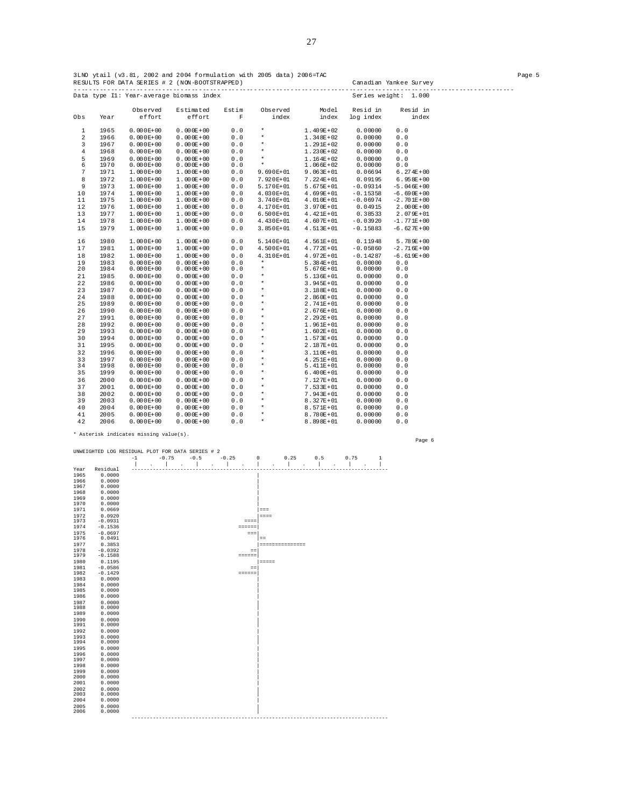|                |              |                                | Data type Il: Year-average biomass index |             |                     |                              |                    | Series weight: 1.000 |  |
|----------------|--------------|--------------------------------|------------------------------------------|-------------|---------------------|------------------------------|--------------------|----------------------|--|
|                |              | Observed                       | Estimated                                | Estim       | Observed            | Model                        | Resid in           | Resid in             |  |
| Obs            | Year         | effort                         | effort                                   | $\mathbf F$ | index               | index                        | log index          | index                |  |
| $\mathbf{1}$   | 1965         | $0.000E + 00$                  | $0.000E + 00$                            | 0.0         | $\star$             | $1.409E+02$                  | 0.00000            | 0.0                  |  |
| 2              | 1966         | $0.000E + 00$                  | $0.000E + 00$                            | 0.0         | $\star$             | $1.348E + 02$                | 0.00000            | 0.0                  |  |
| 3              | 1967         | $0.000E + 00$                  | $0.000E + 00$                            | 0.0         | $\star$             | $1.291E+02$                  | 0.00000            | 0.0                  |  |
| $\overline{4}$ | 1968         | $0.000E + 00$                  | $0.000E + 00$                            | 0.0         | $\star$             | $1.230E + 02$                | 0.00000            | 0.0                  |  |
| 5              | 1969         | $0.000E + 00$                  | $0.000E + 00$                            | 0.0         | $\star$             | $1.164E + 02$                | 0.00000            | 0.0                  |  |
| 6              | 1970         | $0.000E + 00$                  | $0.000E + 00$                            | 0.0         | $\star$             | $1.066E + 02$                | 0.00000            | 0.0                  |  |
| 7              | 1971         | $1.000E+00$                    | $1.000E + 00$                            | 0.0         | 9.690E+01           | $9.063E + 01$                | 0.06694            | $6.274E+00$          |  |
| 8              | 1972         | $1.000E+00$                    | $1.000E + 00$                            | 0.0         | 7.920E+01           | $7.224E+01$                  | 0.09195            | $6.958E + 00$        |  |
| 9              | 1973         | $1.000E+00$                    | $1.000E + 00$                            | 0.0         | 5.170E+01           | $5.675E+01$                  | $-0.09314$         | $-5.046E + 00$       |  |
| 10             | 1974         | $1.000E + 00$                  | $1.000E + 00$                            | 0.0         | $4.030E+01$         | $4.699E+01$                  | $-0.15358$         | $-6.690E+00$         |  |
| 11             | 1975         | $1.000E + 00$                  | $1.000E + 00$                            | 0.0         | 3.740E+01           | $4.010E+01$                  | $-0.06974$         | $-2.701E+00$         |  |
| 12             | 1976         | $1.000E+00$                    | $1.000E + 00$                            | 0.0         | 4.170E+01           | $3.970E + 01$                | 0.04915            | $2.000E + 00$        |  |
| 13             | 1977         | $1.000E + 00$                  | $1.000E + 00$                            | 0.0         | $6.500E+01$         | $4.421E+01$                  | 0.38533            | $2.079E + 01$        |  |
| 14             | 1978         | $1.000E+00$                    | $1.000E + 00$                            | 0.0         | 4.430E+01           | $4.607E + 01$                | $-0.03920$         | $-1.771E+00$         |  |
| 15             | 1979         | $1.000E+00$                    | $1.000E + 00$                            | 0.0         | 3.850E+01           | $4.513E+01$                  | $-0.15883$         | $-6.627E + 00$       |  |
| 16             | 1980         | $1.000E+00$                    | $1.000E + 00$                            | 0.0         | 5.140E+01           | $4.561E+01$                  | 0.11948            | $5.789E + 00$        |  |
| 17             | 1981         | $1.000E+00$                    | $1.000E + 00$                            | 0.0         | 4.500E+01           | $4.772E + 01$                | $-0.05860$         | $-2$ . $716E + 00$   |  |
| 18             | 1982         | $1.000E+00$                    | $1.000E + 00$                            | 0.0         | $4.310E+01$         | $4.972E+01$                  | $-0.14287$         | $-6.619E + 00$       |  |
| 19             | 1983         | $0.000E + 00$                  | $0.000E + 00$                            | 0.0         | $\star$             | $5.384E+01$                  | 0.00000            | 0.0                  |  |
| 20             | 1984         | $0.000E + 00$                  | $0.000E + 00$                            | 0.0         | $\star$             | $5.676E + 01$                | 0.00000            | 0.0                  |  |
| 21             | 1985         | $0.000E + 00$                  | $0.000E + 00$                            | 0.0         | $\star$             | $5.136E + 01$                | 0.00000            | 0.0                  |  |
| 22             | 1986         | $0.000E + 00$                  | $0.000E + 00$                            | 0.0         | $\star$             | $3.945E + 01$                | 0.00000            | 0.0                  |  |
| 23             | 1987         | $0.000E + 00$                  | $0.000E + 00$                            | 0.0         | $\star$             | $3.188E + 01$                | 0.00000            | 0.0                  |  |
| 24             | 1988         | $0.000E + 00$                  | $0.000E + 00$                            | 0.0         | $\star$<br>$^\star$ | $2.860E + 01$                | 0.00000            | 0.0                  |  |
| 25             | 1989         | $0.000E + 00$                  | $0.000E + 00$                            | 0.0         | $\star$             | $2.741E+01$                  | 0.00000            | 0.0                  |  |
| 26<br>27       | 1990<br>1991 | $0.000E + 00$<br>$0.000E + 00$ | $0.000E + 00$<br>$0.000E + 00$           | 0.0<br>0.0  | $\star$             | $2.676E + 01$<br>$2.292E+01$ | 0.00000<br>0.00000 | 0.0<br>0.0           |  |
| 28             | 1992         | $0.000E + 00$                  | $0.000E + 00$                            | 0.0         | $\star$             | $1.961E+01$                  | 0.00000            | 0.0                  |  |
| 29             | 1993         | $0.000E + 00$                  | $0.000E + 00$                            | 0.0         | $\star$             | $1.602E+01$                  | 0.00000            | 0.0                  |  |
| 30             | 1994         | $0.000E + 00$                  | $0.000E + 00$                            | 0.0         | $\star$             | $1.573E+01$                  | 0.00000            | 0.0                  |  |
| 31             | 1995         | $0.000E + 00$                  | $0.000E + 00$                            | 0.0         | $\star$             | $2.187E + 01$                | 0.00000            | 0.0                  |  |
| 32             | 1996         | $0.000E + 00$                  | $0.000E + 00$                            | 0.0         | $\star$             | $3.110E+01$                  | 0.00000            | 0.0                  |  |
| 33             | 1997         | $0.000E + 00$                  | $0.000E + 00$                            | 0.0         | $\star$             | $4.251E+01$                  | 0.00000            | 0.0                  |  |
| 34             | 1998         | $0.000E + 00$                  | $0.000E + 00$                            | 0.0         | $\star$             | $5.411E+01$                  | 0.00000            | 0.0                  |  |
| 35             | 1999         | $0.000E + 00$                  | $0.000E + 00$                            | 0.0         | $\star$             | $6.400E+01$                  | 0.00000            | 0.0                  |  |
| 36             | 2000         | $0.000E + 00$                  | $0.000E + 00$                            | 0.0         | $\star$             | $7.127E + 01$                | 0.00000            | 0.0                  |  |
| 37             | 2001         | $0.000E + 00$                  | $0.000E + 00$                            | 0.0         | $\star$             | $7.533E+01$                  | 0.00000            | 0.0                  |  |
| 38             | 2002         | $0.000E + 00$                  | $0.000E + 00$                            | 0.0         | $\star$             | $7.943E+01$                  | 0.00000            | 0.0                  |  |
| 39             | 2003         | $0.000E + 00$                  | $0.000E + 00$                            | 0.0         | $\star$             | $8.327E+01$                  | 0.00000            | 0.0                  |  |
| 40             | 2004         | $0.000E + 00$                  | $0.000E + 00$                            | 0.0         | $\star$             | $8.571E+01$                  | 0.00000            | 0.0                  |  |
| 41             | 2005         | $0.000E + 00$                  | $0.000E + 00$                            | 0.0         | $\star$             | $8.780E + 01$                | 0.00000            | 0.0                  |  |
| 42             | 2006         | $0.000E + 00$                  | $0.000E + 00$                            | 0.0         | $\star$             | $8.898E + 01$                | 0.00000            | 0.0                  |  |

\* Asterisk indicates missing value(s).

UNWEIGHTED LOG RESIDUAL PLOT FOR DATA SERIES # 2 -1 -0.75 -0.5 -0.25 0 0.25 0.5 0.75 1 | . | . | . | . | . | . | . | . | Year Residual ------------------------------------------------------------------------------------ 1965 0.0000 | 1966 0.0000 | 1967 0.0000 | 1968 0.0000 | 1965 0.0000<br>1966 0.0000<br>1967 0.0000<br>1968 0.0000<br>1969 0.0000<br>1970 0.0000 1970 0.0000<br>1971 0.0669<br>1973 -0.0920<br>1974 -0.1536<br>1975 -0.0697<br>1976 0.0491 1977 0.3853 |=============== 1978 -0.0392 ==| 1979 -0.1588 ======| 1980 0.1195 |===== 1981 -0.0586 ==| 1982 -0.1429 ======| 1983 0.0000 | 1984 0.0000 | 1985 0.0000 | 1986 0.0000 | 1987 0.0000 | 1988 0.0000 | 1989 0.0000 |  $1986$   $0.0000$ <br>  $1987$   $0.0000$ <br>  $1988$   $0.0000$ <br>  $1999$   $0.0000$ <br>  $1991$   $0.0000$  $1991$  0.0000  $\qquad \qquad \blacksquare$  $1992$  0.0000  $\blacksquare$ 1993 0.0000 | 1994 0.0000 | 1995 0.0000 | 1996 0.0000 | 1997 0.0000 |  $1998$  0.0000  $0.0000$   $2001$  0.0000  $0.0000$   $2001$  0.0000  $0.0000$   $1.0000$   $2003$  0.0000  $1.0000$   $1.0000$   $1.0000$   $1.0000$   $1.0000$   $1.0000$   $1.0000$   $1.0000$   $1.0000$   $1.0000$   $1.0000$   $1.0000$   $1.0000$   $1.0000$   $1.$  $\frac{1998}{2000}$  0.0000<br>  $\frac{2000}{2001}$  0.0000<br>  $\frac{2001}{2002}$  0.0000<br>  $\frac{2002}{2003}$  0.0000<br>  $\frac{2005}{2005}$  0.0000<br>  $\frac{2005}{2006}$  0.0000  $0.0000$ <br> $0.0000$ 2006 0.0000 | ------------------------------------------------------------------------------------

Page 6

27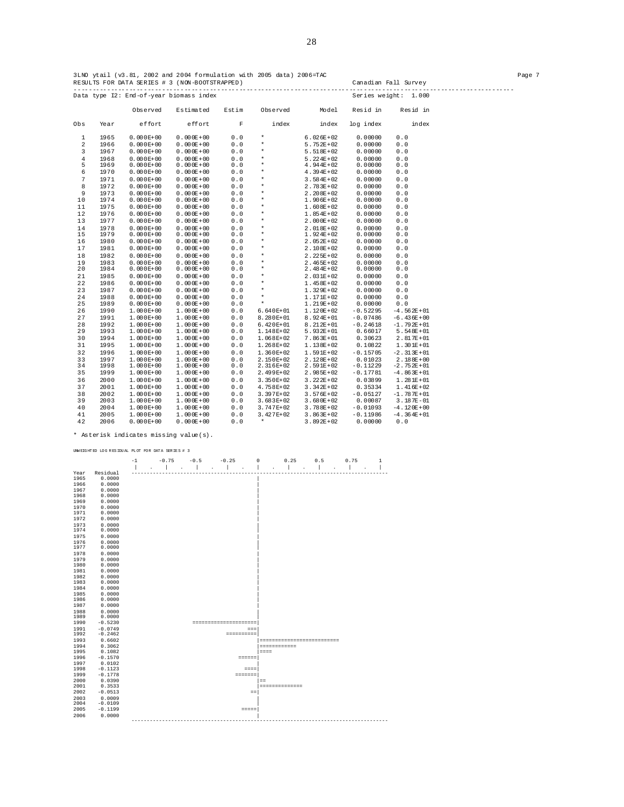|              | Observed     |                                | Estimated                      | Estim      | Observed            | Model                      | Resid in           | Resid in       |
|--------------|--------------|--------------------------------|--------------------------------|------------|---------------------|----------------------------|--------------------|----------------|
| Obs          | Year         | effort                         | effort                         | F          | index               | index                      | log index          | index          |
| $\mathbf{1}$ | 1965         | $0.000E + 00$                  | $0.000E + 00$                  | 0.0        | $\star$             | $6.026E + 02$              | 0.00000            | 0.0            |
| 2            | 1966         | $0.000E + 00$                  | $0.000E + 00$                  | 0.0        | $\star$             | $5.752E + 02$              | 0.00000            | 0.0            |
| 3            | 1967         | $0.000E + 00$                  | $0.000E + 00$                  | 0.0        | $^\star$            | $5.518E+02$                | 0.00000            | 0.0            |
| 4            | 1968         | $0.000E + 00$                  | $0.000E + 00$                  | 0.0        | $^\star$            | $5.224E + 02$              | 0.00000            | 0.0            |
| 5            | 1969         | $0.000E + 00$                  | $0.000E + 00$                  | 0.0        | $^\star$            | $4.944E + 02$              | 0.00000            | 0.0            |
| 6            | 1970         | $0.000E + 00$                  | $0.000E + 00$                  | 0.0        | $^\star$            | $4.394E + 02$              | 0.00000            | 0.0            |
| 7            | 1971         | $0.000E + 00$                  | $0.000E + 00$                  | 0.0        | $^\star$            | $3.584E + 02$              | 0.00000            | 0.0            |
| 8            | 1972         | $0.000E + 00$                  | $0.000E + 00$                  | 0.0        | $^\star$            | $2.783E + 02$              | 0.00000            | 0.0            |
| 9            | 1973         | $0.000E + 00$                  | $0.000E + 00$                  | 0.0        | $^\star$            | $2.208E + 02$              | 0.00000            | 0.0            |
| 10           | 1974         | $0.000E + 00$                  | $0.000E + 00$                  | 0.0        | $^\star$            | $1.906E + 02$              | 0.00000            | 0.0            |
| 11           | 1975         | $0.000E + 00$                  | $0.000E + 00$                  | 0.0        | $^\star$            | $1.608E + 02$              | 0.00000            | 0.0            |
| 12           | 1976         | $0.000E + 00$                  | $0.000E + 00$                  | 0.0        | $\star$             | $1.854E + 02$              | 0.00000            | 0.0            |
| 13           | 1977         | $0.000E + 00$                  | $0.000E + 00$                  | 0.0        | $\star$             | $2.000E + 02$              | 0.00000            | 0.0            |
| 14           | 1978         | $0.000E + 00$                  | $0.000E + 00$                  | 0.0        | $\star$             | $2.018E + 02$              | 0.00000            | 0.0            |
| 15           | 1979         | $0.000E + 00$                  | $0.000E + 00$                  | 0.0        | $\ast$              | $1.924E + 02$              | 0.00000            | 0.0            |
| 16           | 1980         | $0.000E + 00$                  | $0.000E + 00$                  | 0.0        | $\star$             | $2.052E + 02$              | 0.00000            | 0.0            |
| 17           | 1981         | $0.000E + 00$                  | $0.000E + 00$                  | 0.0        | $\star$             | $2.108E + 02$              | 0.00000            | 0.0            |
| 18           | 1982         | $0.000E + 00$                  | $0.000E + 00$                  | 0.0        | $\star$<br>$^\star$ | $2.225E + 02$              | 0.00000            | 0.0            |
| 19<br>20     | 1983<br>1984 | $0.000E + 00$<br>$0.000E + 00$ | $0.000E + 00$<br>$0.000E + 00$ | 0.0<br>0.0 | $\star$             | $2.465E+02$<br>$2.484E+02$ | 0.00000<br>0.00000 | 0.0<br>0.0     |
| 21           | 1985         | $0.000E + 00$                  | $0.000E + 00$                  | 0.0        | $^\star$            | $2.031E+02$                | 0.00000            | 0.0            |
| 22           | 1986         | $0.000E + 00$                  | $0.000E + 00$                  | 0.0        | $\star$             | $1.458E + 02$              | 0.00000            | 0.0            |
| 23           | 1987         | $0.000E + 00$                  | $0.000E + 00$                  | 0.0        | $\star$             | $1.329E + 02$              | 0.00000            | 0.0            |
| 24           | 1988         | $0.000E + 00$                  | $0.000E + 00$                  | 0.0        | $\star$             | $1.171E + 02$              | 0.00000            | 0.0            |
| 25           | 1989         | $0.000E + 00$                  | $0.000E + 00$                  | 0.0        | $\star$             | $1.219E + 02$              | 0.00000            | 0.0            |
| 26           | 1990         | $1.000E + 00$                  | $1.000E + 00$                  | 0.0        | $6.640E+01$         | $1.120E + 02$              | $-0.52295$         | $-4.562E + 01$ |
| 27           | 1991         | $1.000E+00$                    | $1.000E + 00$                  | 0.0        | 8.280E+01           | $8.924E + 01$              | $-0.07486$         | $-6.436E + 00$ |
| 28           | 1992         | $1.000E + 00$                  | $1.000E + 00$                  | 0.0        | $6.420E+01$         | $8.212E + 01$              | $-0.24618$         | $-1.792E + 01$ |
| 29           | 1993         | $1.000E+00$                    | $1.000E + 00$                  | 0.0        | 1.148E+02           | $5.932E + 01$              | 0.66017            | $5.548E + 01$  |
| 30           | 1994         | $1.000E+00$                    | $1.000E + 00$                  | 0.0        | 1.068E+02           | $7.863E + 01$              | 0.30623            | $2.817E + 01$  |
| 31           | 1995         | $1.000E+00$                    | $1.000E + 00$                  | 0.0        | $1.268E+02$         | $1.138E + 02$              | 0.10822            | $1.301E + 01$  |
| 32           | 1996         | $1.000E+00$                    | $1.000E + 00$                  | 0.0        | $1.360E+02$         | $1.591E+02$                | $-0.15705$         | $-2.313E+01$   |
| 33           | 1997         | $1.000E+00$                    | $1.000E + 00$                  | 0.0        | 2.150E+02           | $2.128E + 02$              | 0.01023            | $2.188E + 00$  |
| 34           | 1998         | $1.000E+00$                    | $1.000E + 00$                  | 0.0        | 2.316E+02           | $2.591E+02$                | $-0.11229$         | $-2.752E + 01$ |
| 35           | 1999         | $1.000E+00$                    | $1.000E + 00$                  | 0.0        | 2.499E+02           | $2.985E + 02$              | $-0.17781$         | $-4.863E + 01$ |
| 36           | 2000         | $1.000E+00$                    | $1.000E + 00$                  | 0.0        | $3.350E+02$         | $3.222E+02$                | 0.03899            | $1.281E + 01$  |
| 37           | 2001         | $1.000E+00$                    | $1.000E + 00$                  | 0.0        | 4.758E+02           | $3.342E + 02$              | 0.35334            | $1.416E+02$    |
| 38           | 2002         | $1.000E + 00$                  | $1.000E + 00$                  | 0.0        | 3.397E+02           | $3.576E + 02$              | $-0.05127$         | $-1.787E + 01$ |
| 39           | 2003         | $1.000E+00$                    | $1.000E + 00$                  | 0.0        | $3.683E+02$         | $3.680E + 02$              | 0.00087            | $3.187E - 01$  |
| 40           | 2004         | 1.000E+00                      | $1.000E + 00$                  | 0.0        | 3.747E+02           | $3.788E + 02$              | $-0.01093$         | $-4.120E + 00$ |
| 41           | 2005         | $1.000E+00$                    | $1.000E + 00$                  | 0.0        | 3.427E+02           | $3.863E + 02$              | $-0.11986$         | $-4.364E + 01$ |
| 42           | 2006         | $0.000E + 00$                  | $0.000E + 00$                  | 0.0        | $\star$             | $3.892E + 02$              | 0.00000            | 0.0            |

\* Asterisk indicates missing value(s).

|              | UNNEIGHTED LOG RESIDUAL PLOT FOR DATA SERIES # 3 |      |                      |                |                |                          |                             |                |     |                                        |   |
|--------------|--------------------------------------------------|------|----------------------|----------------|----------------|--------------------------|-----------------------------|----------------|-----|----------------------------------------|---|
|              |                                                  | $-1$ | $-0.75$              | $-0.5$         | $-0.25$        |                          | $\circ$                     | 0.25           | 0.5 | 0.75                                   | 1 |
|              |                                                  |      | $\ddot{\phantom{a}}$ | $\overline{a}$ | $\overline{a}$ | $\overline{\phantom{a}}$ | $\overline{a}$              | $\overline{a}$ |     | $\ddot{\phantom{a}}$<br>$\overline{a}$ | I |
| Year         | Residual                                         |      |                      |                |                |                          |                             |                |     |                                        |   |
| 1965         | 0.0000                                           |      |                      |                |                |                          |                             |                |     |                                        |   |
| 1966         | 0.0000                                           |      |                      |                |                |                          |                             |                |     |                                        |   |
| 1967         | 0.0000                                           |      |                      |                |                |                          |                             |                |     |                                        |   |
| 1968<br>1969 | 0.0000<br>0.0000                                 |      |                      |                |                |                          |                             |                |     |                                        |   |
| 1970         | 0.0000                                           |      |                      |                |                |                          |                             |                |     |                                        |   |
| 1971         | 0.0000                                           |      |                      |                |                |                          |                             |                |     |                                        |   |
| 1972         | 0.0000                                           |      |                      |                |                |                          |                             |                |     |                                        |   |
| 1973         | 0.0000                                           |      |                      |                |                |                          |                             |                |     |                                        |   |
| 1974         | 0.0000                                           |      |                      |                |                |                          |                             |                |     |                                        |   |
| 1975         | 0.0000                                           |      |                      |                |                |                          |                             |                |     |                                        |   |
| 1976         | 0.0000                                           |      |                      |                |                |                          |                             |                |     |                                        |   |
| 1977         | 0.0000                                           |      |                      |                |                |                          |                             |                |     |                                        |   |
| 1978         | 0.0000                                           |      |                      |                |                |                          |                             |                |     |                                        |   |
| 1979         | 0.0000                                           |      |                      |                |                |                          |                             |                |     |                                        |   |
| 1980         | 0.0000                                           |      |                      |                |                |                          |                             |                |     |                                        |   |
| 1981         | 0.0000                                           |      |                      |                |                |                          |                             |                |     |                                        |   |
| 1982         | 0.0000                                           |      |                      |                |                |                          |                             |                |     |                                        |   |
| 1983         | 0.0000<br>0.0000                                 |      |                      |                |                |                          |                             |                |     |                                        |   |
| 1984<br>1985 | 0.0000                                           |      |                      |                |                |                          |                             |                |     |                                        |   |
| 1986         | 0.0000                                           |      |                      |                |                |                          |                             |                |     |                                        |   |
| 1987         | 0.0000                                           |      |                      |                |                |                          |                             |                |     |                                        |   |
| 1988         | 0.0000                                           |      |                      |                |                |                          |                             |                |     |                                        |   |
| 1989         | 0.0000                                           |      |                      |                |                |                          |                             |                |     |                                        |   |
| 1990         | $-0.5230$                                        |      |                      |                |                | ---------------------    |                             |                |     |                                        |   |
| 1991         | $-0.0749$                                        |      |                      |                |                | $=$ $=$ $=$              |                             |                |     |                                        |   |
| 1992         | $-0.2462$                                        |      |                      |                |                | ==========               |                             |                |     |                                        |   |
| 1993         | 0.6602                                           |      |                      |                |                |                          | =========================== |                |     |                                        |   |
| 1994         | 0.3062                                           |      |                      |                |                |                          | ------------                |                |     |                                        |   |
| 1995         | 0.1082                                           |      |                      |                |                |                          | $= = = =$                   |                |     |                                        |   |
| 1996         | $-0.1570$                                        |      |                      |                |                | $= 2222222$              |                             |                |     |                                        |   |
| 1997<br>1998 | 0.0102<br>$-0.1123$                              |      |                      |                |                |                          |                             |                |     |                                        |   |
| 1999         | $-0.1778$                                        |      |                      |                |                | $= = = =$<br>=======     |                             |                |     |                                        |   |
| 2000         | 0.0390                                           |      |                      |                |                |                          | $=$                         |                |     |                                        |   |
| 2001         | 0.3533                                           |      |                      |                |                |                          | ==============              |                |     |                                        |   |
| 2002         | $-0.0513$                                        |      |                      |                |                | $=$ $=$                  |                             |                |     |                                        |   |
| 2003         | 0.0009                                           |      |                      |                |                |                          |                             |                |     |                                        |   |
| 2004         | $-0.0109$                                        |      |                      |                |                |                          |                             |                |     |                                        |   |
| 2005         | $-0.1199$                                        |      |                      |                |                |                          |                             |                |     |                                        |   |
| 2006         | 0.0000                                           |      |                      |                |                |                          |                             |                |     |                                        |   |
|              |                                                  |      |                      |                |                |                          |                             |                |     |                                        |   |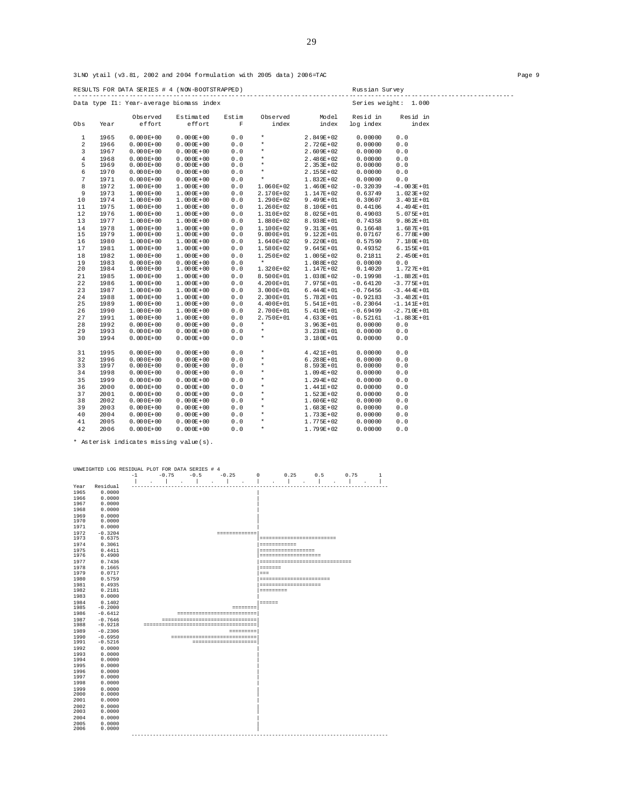3LNO ytail (v3.81, 2002 and 2004 formulation with 2005 data) 2006=TAC Page 9

RESULTS FOR DATA SERIES # 4 (NON-BOOTSTRAPPED) Russian Survey ------------------------------------------------------------------------------------------------------------------------ Data type I1: Year-average biomass index Observed Estimated Estim Observed Model Residin Residin<br>Obs Year effort effort F index index logindex index  $\begin{array}{ccc} \text{effort} & & \text{F} & & \text{index} \end{array}$  $\begin{array}{cccccccc} 1 & 1965 & 0.000\text{E+00} & 0.000\text{E+00} & 0.0 & * & 2.849\text{E+02} & 0.00000 & 0.0 \\ 2 & 1966 & 0.000\text{E+00} & 0.000\text{E+00} & 0.0 & * & 2.726\text{E+02} & 0.00000 & 0.0 \\ 3 & 1967 & 0.000\text{E+00} & 0.000\text{E+00} & 0.0 & * & 2.69\text{E+02} & 0$  6 1970 0.000E+00 0.000E+00 0.0 \* 2.155E+02 0.00000 0.0  $\begin{array}{cccccccc} 7 & 1971 & 0.000\text{E+00} & 0.000\text{E+00} & 0.0 & * & 1.832\text{E+02} & 0.00000 & 0.0 \\ 8 & 1972 & 1.000\text{E+00} & 1.000\text{E+00} & 0.0 & 1.060\text{E+02} & 1.460\text{E+02} & -0.32039 & -4.003\text{E+01} \\ 9 & 1973 & 1.000\text{E+00} & 1.000\text{E+00} &$  $\begin{array}{cccccccc} 19 & 1983 & 0.000\text{E+00} & 0.000\text{E+00} & 0.0 & * & 1.08\text{B+02} & 0.00000 & 0.0 & 0.00000 \\ 20 & 1984 & 1.000\text{E+00} & 1.000\text{E+00} & 0.0 & 0.5500\text{E+01} & 1.038\text{E+02} & 0.14020 & 1.727\text{E+01} \\ 21 & 1985 & 1.000\text{E+00} & 1.$  29 1993 0.000E+00 0.000E+00 0.0 \* 3.238E+01 0.00000 0.0 30 1994 0.000E+00 0.000E+00 0.0 \* 3.180E+01 0.00000 0.0 31 1995 0.000E+00 0.000E+00 0.0 \* 4.421E+01 0.00000 0.0 32 1996 0.000E+00 0.000E+00 0.0 \* 6.288E+01 0.00000 0.0 33 1997 0.000E+00 0.000E+00 0.0 \* 8.593E+01 0.00000 0.0  $34$  1998 0.000E+00 0.000E+00 0.0 \* 1.094E+02 0.00000 0.0<br>35 1999 0.000E+00 0.000E+00 0.0 \* 1.294E+02 0.00000 0.0 35 1999 0.000E+00 0.000E+00 0.0 \* 1.294E+02 0.00000 0.0  $\begin{array}{ccccccccccccccc} 36 & 2000 & 0.000E+00 & 0.000E+00 & 0.000E+00 & 0.000 & * & 1.441E+02 & 0.00000 & 0.0000 & 0.0000 & 0.0000 & 0.0000 & 0.0000 & 0.0000 & 0.0000 & 0.0000 & 0.0000 & 0.0000 & 0.0000 & 0.0000 & 0.0000 & 0.0000 & 0.0000 & 0.0000 & 0.0000 & 0$  37 2001 0.000E+00 0.000E+00 0.0 \* 1.523E+02 0.00000 0.0 38 2002 0.000E+00 0.000E+00 0.0 \* 1.606E+02 0.00000 0.0 39 2003 0.000E+00 0.000E+00 0.0 \* 1.683E+02 0.00000 0.0 40 2004 0.000E+00 0.000E+00 0.0 \* 1.733E+02 0.00000 0.0

\* Asterisk indicates missing value(s).

| $-1$<br>$-0.75$<br>0.25<br>0.75<br>$-0.5$<br>$-0.25$<br>$\mathbf 0$<br>0.5<br>$\mathbf{1}$<br>Residual<br>Year<br>1965<br>0.0000<br>0.0000<br>1966<br>1967<br>0.0000<br>0.0000<br>1968<br>1969<br>0.0000<br>1970<br>0.0000<br>1971<br>0.0000<br>1972<br>$-0.3204$<br>=============<br>1973<br>0.6375<br>==========================<br>1974<br>0.3061<br>============<br>1975<br>0.4411<br>------------------<br>1976<br>0.4900<br>--------------------<br>1977<br>0.7436<br>------------------------------<br>1978<br>0.1665<br>1979<br>0.0717<br>$==$<br>1980<br>0.5759<br>-----------------------<br>0.4935<br>1981<br>--------------------<br>1982<br>0.2181<br>=========<br>0.0000<br>1983<br>1984<br>0.1402<br>======<br>$-0.2000$<br>1985<br>$=$ = = = = = = =<br>1986<br>$-0.6412$<br>============================<br>1987<br>$-0.7646$<br>--------------------------------<br>1988<br>$-0.9218$<br>--------------------------------------<br>1989<br>$-0.2306$<br>=========<br>1990<br>$-0.6950$<br>-----------------------------<br>$-0.5216$<br>1991<br>======================<br>1992<br>0.0000<br>1993<br>0.0000<br>1994<br>0.0000<br>1995<br>0.0000<br>0.0000<br>1996<br>0.0000<br>1997<br>1998<br>0.0000<br>1999<br>0.0000<br>2000<br>0.0000<br>2001<br>0.0000<br>2002<br>0.0000<br>2003<br>0.0000<br>2004<br>0.0000<br>2005<br>0.0000<br>2006<br>0.0000<br>------------------------<br>------------------------------ | UNWEIGHTED LOG RESIDUAL PLOT FOR DATA SERIES # 4 |  |  |  |  |  |  |  |  |
|--------------------------------------------------------------------------------------------------------------------------------------------------------------------------------------------------------------------------------------------------------------------------------------------------------------------------------------------------------------------------------------------------------------------------------------------------------------------------------------------------------------------------------------------------------------------------------------------------------------------------------------------------------------------------------------------------------------------------------------------------------------------------------------------------------------------------------------------------------------------------------------------------------------------------------------------------------------------------------------------------------------------------------------------------------------------------------------------------------------------------------------------------------------------------------------------------------------------------------------------------------------------------------------------------------------------------------------------------------------------------------------------------------------------------------------|--------------------------------------------------|--|--|--|--|--|--|--|--|
|                                                                                                                                                                                                                                                                                                                                                                                                                                                                                                                                                                                                                                                                                                                                                                                                                                                                                                                                                                                                                                                                                                                                                                                                                                                                                                                                                                                                                                      |                                                  |  |  |  |  |  |  |  |  |
|                                                                                                                                                                                                                                                                                                                                                                                                                                                                                                                                                                                                                                                                                                                                                                                                                                                                                                                                                                                                                                                                                                                                                                                                                                                                                                                                                                                                                                      |                                                  |  |  |  |  |  |  |  |  |
|                                                                                                                                                                                                                                                                                                                                                                                                                                                                                                                                                                                                                                                                                                                                                                                                                                                                                                                                                                                                                                                                                                                                                                                                                                                                                                                                                                                                                                      |                                                  |  |  |  |  |  |  |  |  |
|                                                                                                                                                                                                                                                                                                                                                                                                                                                                                                                                                                                                                                                                                                                                                                                                                                                                                                                                                                                                                                                                                                                                                                                                                                                                                                                                                                                                                                      |                                                  |  |  |  |  |  |  |  |  |
|                                                                                                                                                                                                                                                                                                                                                                                                                                                                                                                                                                                                                                                                                                                                                                                                                                                                                                                                                                                                                                                                                                                                                                                                                                                                                                                                                                                                                                      |                                                  |  |  |  |  |  |  |  |  |
|                                                                                                                                                                                                                                                                                                                                                                                                                                                                                                                                                                                                                                                                                                                                                                                                                                                                                                                                                                                                                                                                                                                                                                                                                                                                                                                                                                                                                                      |                                                  |  |  |  |  |  |  |  |  |
|                                                                                                                                                                                                                                                                                                                                                                                                                                                                                                                                                                                                                                                                                                                                                                                                                                                                                                                                                                                                                                                                                                                                                                                                                                                                                                                                                                                                                                      |                                                  |  |  |  |  |  |  |  |  |
|                                                                                                                                                                                                                                                                                                                                                                                                                                                                                                                                                                                                                                                                                                                                                                                                                                                                                                                                                                                                                                                                                                                                                                                                                                                                                                                                                                                                                                      |                                                  |  |  |  |  |  |  |  |  |
|                                                                                                                                                                                                                                                                                                                                                                                                                                                                                                                                                                                                                                                                                                                                                                                                                                                                                                                                                                                                                                                                                                                                                                                                                                                                                                                                                                                                                                      |                                                  |  |  |  |  |  |  |  |  |
|                                                                                                                                                                                                                                                                                                                                                                                                                                                                                                                                                                                                                                                                                                                                                                                                                                                                                                                                                                                                                                                                                                                                                                                                                                                                                                                                                                                                                                      |                                                  |  |  |  |  |  |  |  |  |
|                                                                                                                                                                                                                                                                                                                                                                                                                                                                                                                                                                                                                                                                                                                                                                                                                                                                                                                                                                                                                                                                                                                                                                                                                                                                                                                                                                                                                                      |                                                  |  |  |  |  |  |  |  |  |
|                                                                                                                                                                                                                                                                                                                                                                                                                                                                                                                                                                                                                                                                                                                                                                                                                                                                                                                                                                                                                                                                                                                                                                                                                                                                                                                                                                                                                                      |                                                  |  |  |  |  |  |  |  |  |
|                                                                                                                                                                                                                                                                                                                                                                                                                                                                                                                                                                                                                                                                                                                                                                                                                                                                                                                                                                                                                                                                                                                                                                                                                                                                                                                                                                                                                                      |                                                  |  |  |  |  |  |  |  |  |
|                                                                                                                                                                                                                                                                                                                                                                                                                                                                                                                                                                                                                                                                                                                                                                                                                                                                                                                                                                                                                                                                                                                                                                                                                                                                                                                                                                                                                                      |                                                  |  |  |  |  |  |  |  |  |
|                                                                                                                                                                                                                                                                                                                                                                                                                                                                                                                                                                                                                                                                                                                                                                                                                                                                                                                                                                                                                                                                                                                                                                                                                                                                                                                                                                                                                                      |                                                  |  |  |  |  |  |  |  |  |
|                                                                                                                                                                                                                                                                                                                                                                                                                                                                                                                                                                                                                                                                                                                                                                                                                                                                                                                                                                                                                                                                                                                                                                                                                                                                                                                                                                                                                                      |                                                  |  |  |  |  |  |  |  |  |
|                                                                                                                                                                                                                                                                                                                                                                                                                                                                                                                                                                                                                                                                                                                                                                                                                                                                                                                                                                                                                                                                                                                                                                                                                                                                                                                                                                                                                                      |                                                  |  |  |  |  |  |  |  |  |
|                                                                                                                                                                                                                                                                                                                                                                                                                                                                                                                                                                                                                                                                                                                                                                                                                                                                                                                                                                                                                                                                                                                                                                                                                                                                                                                                                                                                                                      |                                                  |  |  |  |  |  |  |  |  |
|                                                                                                                                                                                                                                                                                                                                                                                                                                                                                                                                                                                                                                                                                                                                                                                                                                                                                                                                                                                                                                                                                                                                                                                                                                                                                                                                                                                                                                      |                                                  |  |  |  |  |  |  |  |  |
|                                                                                                                                                                                                                                                                                                                                                                                                                                                                                                                                                                                                                                                                                                                                                                                                                                                                                                                                                                                                                                                                                                                                                                                                                                                                                                                                                                                                                                      |                                                  |  |  |  |  |  |  |  |  |
|                                                                                                                                                                                                                                                                                                                                                                                                                                                                                                                                                                                                                                                                                                                                                                                                                                                                                                                                                                                                                                                                                                                                                                                                                                                                                                                                                                                                                                      |                                                  |  |  |  |  |  |  |  |  |
|                                                                                                                                                                                                                                                                                                                                                                                                                                                                                                                                                                                                                                                                                                                                                                                                                                                                                                                                                                                                                                                                                                                                                                                                                                                                                                                                                                                                                                      |                                                  |  |  |  |  |  |  |  |  |
|                                                                                                                                                                                                                                                                                                                                                                                                                                                                                                                                                                                                                                                                                                                                                                                                                                                                                                                                                                                                                                                                                                                                                                                                                                                                                                                                                                                                                                      |                                                  |  |  |  |  |  |  |  |  |
|                                                                                                                                                                                                                                                                                                                                                                                                                                                                                                                                                                                                                                                                                                                                                                                                                                                                                                                                                                                                                                                                                                                                                                                                                                                                                                                                                                                                                                      |                                                  |  |  |  |  |  |  |  |  |
|                                                                                                                                                                                                                                                                                                                                                                                                                                                                                                                                                                                                                                                                                                                                                                                                                                                                                                                                                                                                                                                                                                                                                                                                                                                                                                                                                                                                                                      |                                                  |  |  |  |  |  |  |  |  |
|                                                                                                                                                                                                                                                                                                                                                                                                                                                                                                                                                                                                                                                                                                                                                                                                                                                                                                                                                                                                                                                                                                                                                                                                                                                                                                                                                                                                                                      |                                                  |  |  |  |  |  |  |  |  |
|                                                                                                                                                                                                                                                                                                                                                                                                                                                                                                                                                                                                                                                                                                                                                                                                                                                                                                                                                                                                                                                                                                                                                                                                                                                                                                                                                                                                                                      |                                                  |  |  |  |  |  |  |  |  |
|                                                                                                                                                                                                                                                                                                                                                                                                                                                                                                                                                                                                                                                                                                                                                                                                                                                                                                                                                                                                                                                                                                                                                                                                                                                                                                                                                                                                                                      |                                                  |  |  |  |  |  |  |  |  |
|                                                                                                                                                                                                                                                                                                                                                                                                                                                                                                                                                                                                                                                                                                                                                                                                                                                                                                                                                                                                                                                                                                                                                                                                                                                                                                                                                                                                                                      |                                                  |  |  |  |  |  |  |  |  |
|                                                                                                                                                                                                                                                                                                                                                                                                                                                                                                                                                                                                                                                                                                                                                                                                                                                                                                                                                                                                                                                                                                                                                                                                                                                                                                                                                                                                                                      |                                                  |  |  |  |  |  |  |  |  |
|                                                                                                                                                                                                                                                                                                                                                                                                                                                                                                                                                                                                                                                                                                                                                                                                                                                                                                                                                                                                                                                                                                                                                                                                                                                                                                                                                                                                                                      |                                                  |  |  |  |  |  |  |  |  |
|                                                                                                                                                                                                                                                                                                                                                                                                                                                                                                                                                                                                                                                                                                                                                                                                                                                                                                                                                                                                                                                                                                                                                                                                                                                                                                                                                                                                                                      |                                                  |  |  |  |  |  |  |  |  |
|                                                                                                                                                                                                                                                                                                                                                                                                                                                                                                                                                                                                                                                                                                                                                                                                                                                                                                                                                                                                                                                                                                                                                                                                                                                                                                                                                                                                                                      |                                                  |  |  |  |  |  |  |  |  |
|                                                                                                                                                                                                                                                                                                                                                                                                                                                                                                                                                                                                                                                                                                                                                                                                                                                                                                                                                                                                                                                                                                                                                                                                                                                                                                                                                                                                                                      |                                                  |  |  |  |  |  |  |  |  |
|                                                                                                                                                                                                                                                                                                                                                                                                                                                                                                                                                                                                                                                                                                                                                                                                                                                                                                                                                                                                                                                                                                                                                                                                                                                                                                                                                                                                                                      |                                                  |  |  |  |  |  |  |  |  |
|                                                                                                                                                                                                                                                                                                                                                                                                                                                                                                                                                                                                                                                                                                                                                                                                                                                                                                                                                                                                                                                                                                                                                                                                                                                                                                                                                                                                                                      |                                                  |  |  |  |  |  |  |  |  |
|                                                                                                                                                                                                                                                                                                                                                                                                                                                                                                                                                                                                                                                                                                                                                                                                                                                                                                                                                                                                                                                                                                                                                                                                                                                                                                                                                                                                                                      |                                                  |  |  |  |  |  |  |  |  |
|                                                                                                                                                                                                                                                                                                                                                                                                                                                                                                                                                                                                                                                                                                                                                                                                                                                                                                                                                                                                                                                                                                                                                                                                                                                                                                                                                                                                                                      |                                                  |  |  |  |  |  |  |  |  |
|                                                                                                                                                                                                                                                                                                                                                                                                                                                                                                                                                                                                                                                                                                                                                                                                                                                                                                                                                                                                                                                                                                                                                                                                                                                                                                                                                                                                                                      |                                                  |  |  |  |  |  |  |  |  |
|                                                                                                                                                                                                                                                                                                                                                                                                                                                                                                                                                                                                                                                                                                                                                                                                                                                                                                                                                                                                                                                                                                                                                                                                                                                                                                                                                                                                                                      |                                                  |  |  |  |  |  |  |  |  |
|                                                                                                                                                                                                                                                                                                                                                                                                                                                                                                                                                                                                                                                                                                                                                                                                                                                                                                                                                                                                                                                                                                                                                                                                                                                                                                                                                                                                                                      |                                                  |  |  |  |  |  |  |  |  |
|                                                                                                                                                                                                                                                                                                                                                                                                                                                                                                                                                                                                                                                                                                                                                                                                                                                                                                                                                                                                                                                                                                                                                                                                                                                                                                                                                                                                                                      |                                                  |  |  |  |  |  |  |  |  |

41 2005 0.000E+00 0.000E+00 0.0 \* 1.775E+02 0.00000 0.0 42 2006 0.000E+00 0.000E+00 0.0 \* 1.799E+02 0.00000 0.0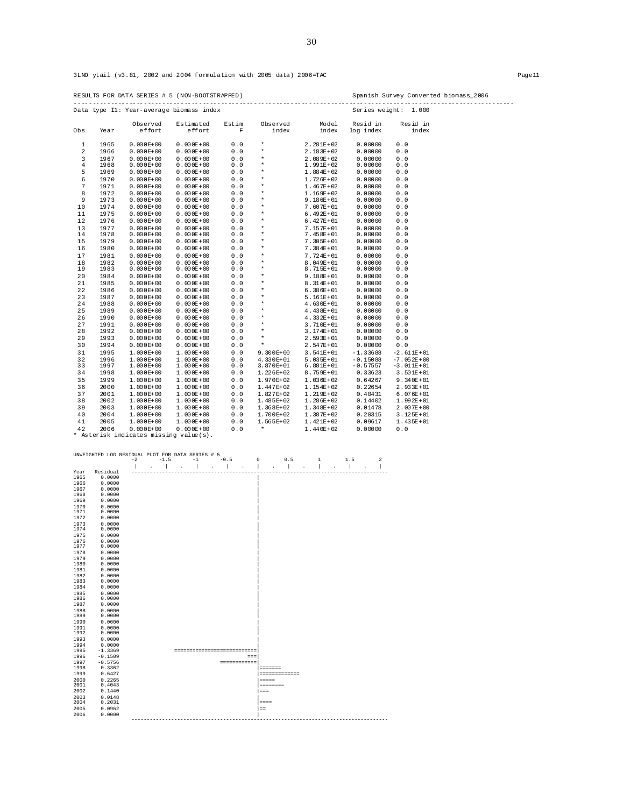3LNO ytail (v3.81, 2002 and 2004 formulation with 2005 data) 2006=TAC Page11

|                |              |                                        | Data type Il: Year-average biomass index |                      |                    |                                |                       | Series weight: 1.000 |  |
|----------------|--------------|----------------------------------------|------------------------------------------|----------------------|--------------------|--------------------------------|-----------------------|----------------------|--|
| Obs            | Year         | Observed<br>effort                     | Estimated<br>effort                      | Estim<br>$\mathbf F$ | Observed<br>index  | Model<br>index                 | Resid in<br>log index | Resid in<br>index    |  |
| $\mathbf{1}$   | 1965         | $0.000E + 00$                          | $0.000E + 00$                            | 0.0                  | $\star$            | $2.281E+02$                    | 0.00000               | 0.0                  |  |
| $\overline{a}$ | 1966         | $0.000E + 00$                          | $0.000E + 00$                            | 0.0                  | $\star$            | $2.183E + 02$                  | 0.00000               | 0.0                  |  |
| 3              | 1967         | $0.000E + 00$                          | $0.000E + 00$                            | 0.0                  | $\star$            | $2.089E + 02$                  | 0.00000               | 0.0                  |  |
| 4              | 1968         | $0.000E + 00$                          | $0.000E + 00$                            | 0.0                  | $\star$            | $1.991E+02$                    | 0.00000               | 0.0                  |  |
| 5              | 1969         | $0.000E + 00$                          | $0.000E + 00$                            | 0.0                  | $\star$            | $1.884E + 02$                  | 0.00000               | 0.0                  |  |
| 6              | 1970         | $0.000E + 00$                          | $0.000E + 00$                            | 0.0                  | $\star$            | $1.726E + 02$                  | 0.00000               | 0.0                  |  |
| 7              | 1971         | $0.000E + 00$                          | $0.000E + 00$                            | 0.0                  | $^\star$           | $1.467E + 02$                  | 0.00000               | 0.0                  |  |
| 8              | 1972         | $0.000E + 00$                          | $0.000E + 00$                            | 0.0                  | $\star$            | $1.169E + 02$                  | 0.00000               | 0.0                  |  |
| 9              | 1973         | $0.000E + 00$                          | $0.000E + 00$                            | 0.0                  | $\star$            | $9.186E + 01$                  | 0.00000               | 0.0                  |  |
| 10             | 1974         | $0.000E + 00$                          | $0.000E + 00$                            | 0.0                  | $\star$            | $7.607E + 01$                  | 0.00000               | 0.0                  |  |
| 11             | 1975         | $0.000E + 00$                          | $0.000E + 00$                            | 0.0                  | $\star$            | $6.492E+01$                    | 0.00000               | 0.0                  |  |
| 12             | 1976         | $0.000E + 00$                          | $0.000E + 00$                            | 0.0                  | $\star$            | $6.427E + 01$                  | 0.00000               | 0.0                  |  |
| 13             | 1977         | $0.000E + 00$                          | $0.000E + 00$                            | 0.0                  | $\star$            | $7.157E + 01$                  | 0.00000               | 0.0                  |  |
| 14             | 1978         | $0.000E + 00$                          | $0.000E + 00$                            | 0.0                  | $\star$            | $7.458E + 01$                  | 0.00000               | 0.0                  |  |
| 15             | 1979         | $0.000E + 00$                          | $0.000E + 00$                            | 0.0                  | $\star$            | $7.305E + 01$                  | 0.00000               | 0.0                  |  |
| 16             | 1980         | $0.000E + 00$                          | $0.000E + 00$                            | 0.0                  | $\star$            | $7.384E + 01$                  | 0.00000               | 0.0                  |  |
| 17             | 1981         | $0.000E + 00$                          | $0.000E + 00$                            | 0.0                  | $\star$            | $7.724E + 01$                  | 0.00000               | 0.0                  |  |
| 18             | 1982         | $0.000E + 00$                          | $0.000E + 00$                            | 0.0                  | $\star$<br>$\star$ | $8.049E + 01$                  | 0.00000               | 0.0                  |  |
| 19             | 1983         | $0.000E + 00$                          | $0.000E + 00$                            | 0.0                  |                    | $8.715E + 01$                  | 0.00000               | 0.0                  |  |
| 20             | 1984         | $0.000E + 00$                          | $0.000E + 00$                            | 0.0                  | $\star$            | $9.188E + 01$                  | 0.00000               | 0.0                  |  |
| 21             | 1985         | $0.000E + 00$                          | $0.000E + 00$                            | 0.0                  | $\star$            | $8.314E+01$                    | 0.00000               | 0.0                  |  |
| 22             | 1986         | $0.000E + 00$                          | $0.000E + 00$                            | 0.0                  | $\star$            | $6.386E + 01$                  | 0.00000               | 0.0                  |  |
| 23             | 1987         | $0.000E + 00$                          | $0.000E + 00$                            | 0.0                  | $\star$<br>$\star$ | $5.161E+01$                    | 0.00000               | 0.0                  |  |
| 24             | 1988         | $0.000E + 00$                          | $0.000E + 00$                            | 0.0                  | $\star$            | $4.630E + 01$                  | 0.00000               | 0.0                  |  |
| 25             | 1989         | $0.000E + 00$                          | $0.000E + 00$                            | 0.0                  |                    | $4.438E + 01$                  | 0.00000               | 0.0                  |  |
| 26             | 1990         | $0.000E + 00$                          | $0.000E + 00$                            | 0.0                  | $\star$            | $4.332E + 01$                  | 0.00000               | 0.0                  |  |
| 27<br>28       | 1991         | $0.000E + 00$                          | $0.000E + 00$                            | 0.0                  | $\star$<br>$\star$ | $3.710E + 01$                  | 0.00000               | 0.0                  |  |
| 29             | 1992<br>1993 | $0.000E + 00$                          | $0.000E + 00$                            | 0.0                  | $\star$            | $3.174E + 01$                  | 0.00000               | 0.0                  |  |
| 30             | 1994         | $0.000E + 00$<br>$0.000E + 00$         | $0.000E + 00$<br>$0.000E + 00$           | 0.0<br>0.0           | $\star$            | $2.593E + 01$<br>$2.547E + 01$ | 0.00000<br>0.00000    | 0.0<br>0.0           |  |
| 31             | 1995         | $1.000E + 00$                          | $1.000E + 00$                            | 0.0                  | $9.300E+00$        | $3.541E+01$                    | $-1.33688$            | $-2.611E+01$         |  |
| 32             | 1996         | $1.000E + 00$                          | $1.000E + 00$                            | 0.0                  | $4.330E+01$        | $5.035E + 01$                  | $-0.15088$            | $-7.052E + 00$       |  |
| 33             | 1997         | $1.000E+00$                            | $1.000E + 00$                            | 0.0                  | 3.870E+01          | $6.881E+01$                    | $-0.57557$            | $-3.011E+01$         |  |
| 34             | 1998         | $1.000E+00$                            | $1.000E + 00$                            | 0.0                  | $1.226E+02$        | $8.759E + 01$                  | 0.33623               | $3.501E + 01$        |  |
| 35             | 1999         | $1.000E+00$                            | $1.000E + 00$                            | 0.0                  | 1.970E+02          | $1.036E + 02$                  | 0.64267               | $9.340E + 01$        |  |
| 36             | 2000         | $1.000E + 00$                          | $1.000E + 00$                            | 0.0                  | 1.447E+02          | $1.154E + 02$                  | 0.22654               | $2.933E + 01$        |  |
| 37             | 2001         | $1.000E + 00$                          | $1.000E + 00$                            | 0.0                  | 1.827E+02          | $1.219E + 02$                  | 0.40431               | $6.076E + 01$        |  |
| 38             | 2002         | $1.000E + 00$                          | $1.000E + 00$                            | 0.0                  | 1.485E+02          | $1.286E + 02$                  | 0.14402               | $1.992E + 01$        |  |
| 39             | 2003         | $1.000E+00$                            | $1.000E + 00$                            | 0.0                  | $1.368E+02$        | $1.348E + 02$                  | 0.01478               | $2.007E + 00$        |  |
| 40             | 2004         | $1.000E + 00$                          | $1.000E + 00$                            | 0.0                  | 1.700E+02          | $1.387E + 02$                  | 0.20315               | $3.125E + 01$        |  |
| 41             | 2005         | $1.000E + 00$                          | $1.000E + 00$                            | 0.0                  | $1.565E+02$        | $1.421E+02$                    | 0.09617               | $1.435E + 01$        |  |
| 42             | 2006         | $0.000E + 00$                          | $0.000E + 00$                            | 0.0                  | $\star$            | $1.440E+02$                    | 0.00000               | 0.0                  |  |
|                |              | * Asterisk indicates missing value(s). |                                          |                      |                    |                                |                       |                      |  |

| ------------- |                  | $-2$ | $-1.5$ | $-1$                        | $-0.5$ |              | 0             | 0.5 | $\mathbf{1}$ | 1.5 | $\overline{a}$ |
|---------------|------------------|------|--------|-----------------------------|--------|--------------|---------------|-----|--------------|-----|----------------|
|               |                  |      |        |                             |        |              |               |     |              |     |                |
| Year          | Residual         |      |        |                             |        |              |               |     |              |     |                |
| 1965          | 0.0000           |      |        |                             |        |              |               |     |              |     |                |
| 1966          | 0.0000           |      |        |                             |        |              |               |     |              |     |                |
| 1967          | 0.0000           |      |        |                             |        |              |               |     |              |     |                |
| 1968          | 0.0000           |      |        |                             |        |              |               |     |              |     |                |
| 1969          | 0.0000           |      |        |                             |        |              |               |     |              |     |                |
| 1970          | 0.0000           |      |        |                             |        |              |               |     |              |     |                |
| 1971          | 0.0000           |      |        |                             |        |              |               |     |              |     |                |
| 1972          | 0.0000           |      |        |                             |        |              |               |     |              |     |                |
| 1973          | 0.0000           |      |        |                             |        |              |               |     |              |     |                |
| 1974          | 0.0000           |      |        |                             |        |              |               |     |              |     |                |
| 1975          | 0.0000           |      |        |                             |        |              |               |     |              |     |                |
| 1976          | 0.0000           |      |        |                             |        |              |               |     |              |     |                |
| 1977          | 0.0000           |      |        |                             |        |              |               |     |              |     |                |
| 1978          | 0.0000           |      |        |                             |        |              |               |     |              |     |                |
| 1979          | 0.0000           |      |        |                             |        |              |               |     |              |     |                |
| 1980          | 0.0000           |      |        |                             |        |              |               |     |              |     |                |
| 1981          | 0.0000           |      |        |                             |        |              |               |     |              |     |                |
| 1982          | 0.0000           |      |        |                             |        |              |               |     |              |     |                |
| 1983          | 0.0000           |      |        |                             |        |              |               |     |              |     |                |
| 1984          | 0.0000           |      |        |                             |        |              |               |     |              |     |                |
| 1985          | 0.0000           |      |        |                             |        |              |               |     |              |     |                |
| 1986          | 0.0000           |      |        |                             |        |              |               |     |              |     |                |
| 1987          | 0.0000           |      |        |                             |        |              |               |     |              |     |                |
| 1988<br>1989  | 0.0000<br>0.0000 |      |        |                             |        |              |               |     |              |     |                |
| 1990          | 0.0000           |      |        |                             |        |              |               |     |              |     |                |
| 1991          | 0.0000           |      |        |                             |        |              |               |     |              |     |                |
| 1992          | 0.0000           |      |        |                             |        |              |               |     |              |     |                |
| 1993          | 0.0000           |      |        |                             |        |              |               |     |              |     |                |
| 1994          | 0.0000           |      |        |                             |        |              |               |     |              |     |                |
| 1995          | $-1.3369$        |      |        | --------------------------- |        |              |               |     |              |     |                |
| 1996          | $-0.1509$        |      |        |                             |        | $=$          |               |     |              |     |                |
| 1997          | $-0.5756$        |      |        |                             |        | ============ |               |     |              |     |                |
| 1998          | 0.3362           |      |        |                             |        |              | =======       |     |              |     |                |
| 1999          | 0.6427           |      |        |                             |        |              | ============= |     |              |     |                |
| 2000          | 0.2265           |      |        |                             |        |              |               |     |              |     |                |
| 2001          | 0.4043           |      |        |                             |        |              | ========      |     |              |     |                |
| 2002          | 0.1440           |      |        |                             |        |              | $==$          |     |              |     |                |
| 2003          | 0.0148           |      |        |                             |        |              |               |     |              |     |                |
| 2004          | 0.2031           |      |        |                             |        |              | $= = = =$     |     |              |     |                |
| 2005          | 0.0962           |      |        |                             |        |              | $=$           |     |              |     |                |
| 2006          | 0.0000           |      |        |                             |        |              |               |     |              |     |                |
|               |                  |      |        |                             |        |              |               |     |              |     |                |